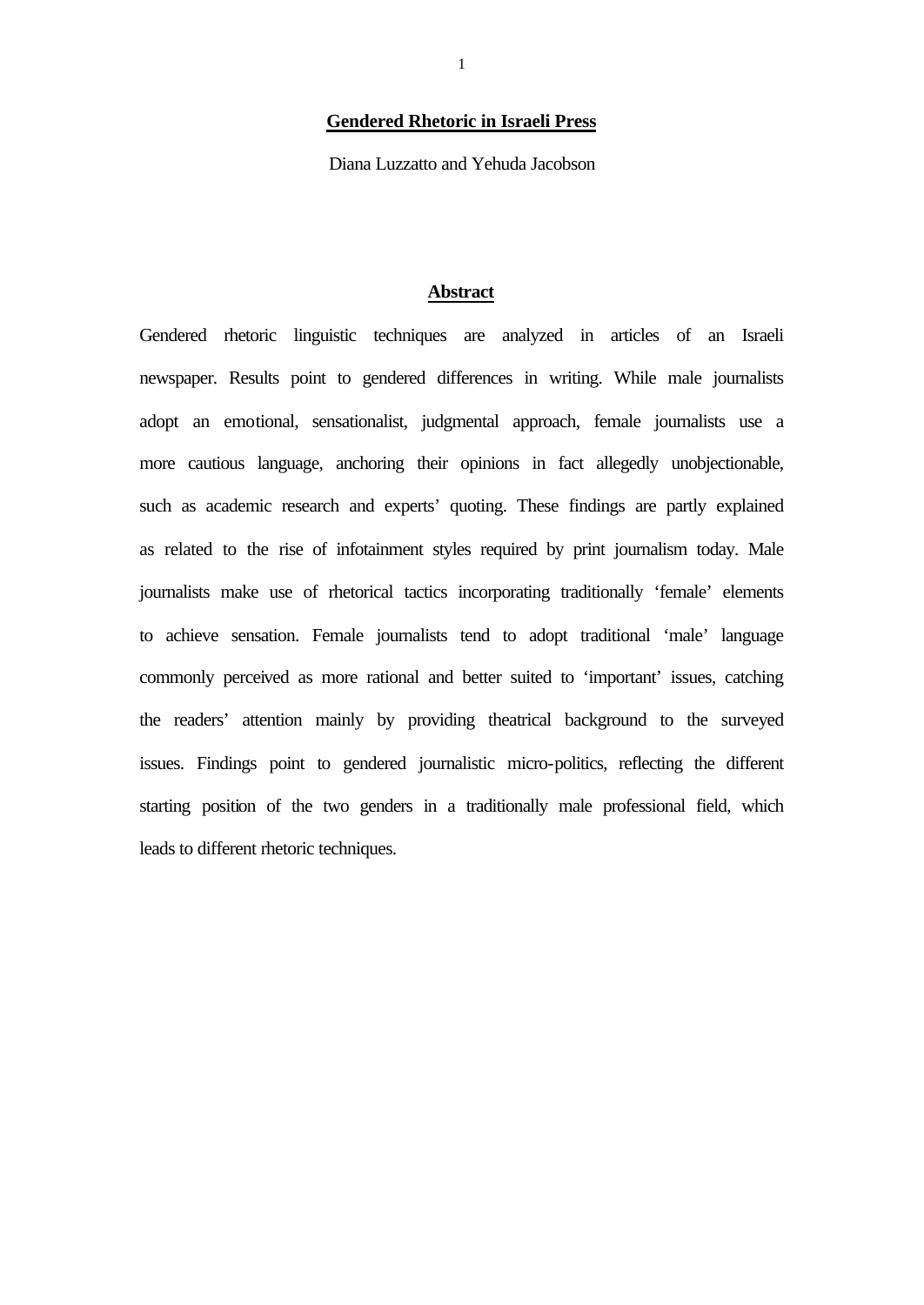## **Gendered Rhetoric in Israeli Press**

Diana Luzzatto and Yehuda Jacobson

## **Abstract**

Gendered rhetoric linguistic techniques are analyzed in articles of an Israeli newspaper. Results point to gendered differences in writing. While male journalists adopt an emotional, sensationalist, judgmental approach, female journalists use a more cautious language, anchoring their opinions in fact allegedly unobjectionable, such as academic research and experts' quoting. These findings are partly explained as related to the rise of infotainment styles required by print journalism today. Male journalists make use of rhetorical tactics incorporating traditionally 'female' elements to achieve sensation. Female journalists tend to adopt traditional 'male' language commonly perceived as more rational and better suited to 'important' issues, catching the readers' attention mainly by providing theatrical background to the surveyed issues. Findings point to gendered journalistic micro-politics, reflecting the different starting position of the two genders in a traditionally male professional field, which leads to different rhetoric techniques.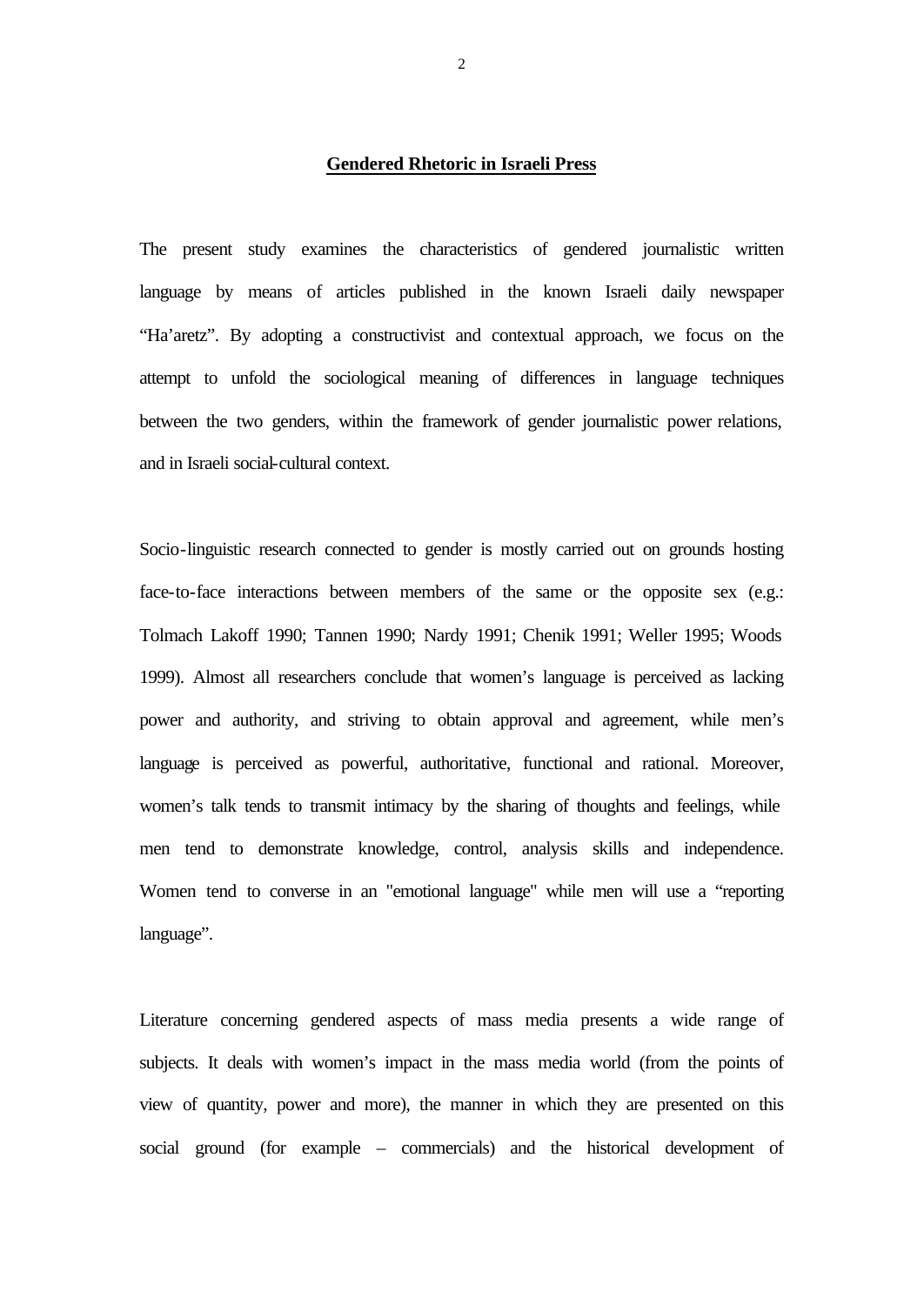### **Gendered Rhetoric in Israeli Press**

The present study examines the characteristics of gendered journalistic written language by means of articles published in the known Israeli daily newspaper "Ha'aretz". By adopting a constructivist and contextual approach, we focus on the attempt to unfold the sociological meaning of differences in language techniques between the two genders, within the framework of gender journalistic power relations, and in Israeli social-cultural context.

Socio-linguistic research connected to gender is mostly carried out on grounds hosting face-to-face interactions between members of the same or the opposite sex (e.g.: Tolmach Lakoff 1990; Tannen 1990; Nardy 1991; Chenik 1991; Weller 1995; Woods 1999). Almost all researchers conclude that women's language is perceived as lacking power and authority, and striving to obtain approval and agreement, while men's language is perceived as powerful, authoritative, functional and rational. Moreover, women's talk tends to transmit intimacy by the sharing of thoughts and feelings, while men tend to demonstrate knowledge, control, analysis skills and independence. Women tend to converse in an "emotional language" while men will use a "reporting language".

Literature concerning gendered aspects of mass media presents a wide range of subjects. It deals with women's impact in the mass media world (from the points of view of quantity, power and more), the manner in which they are presented on this social ground (for example – commercials) and the historical development of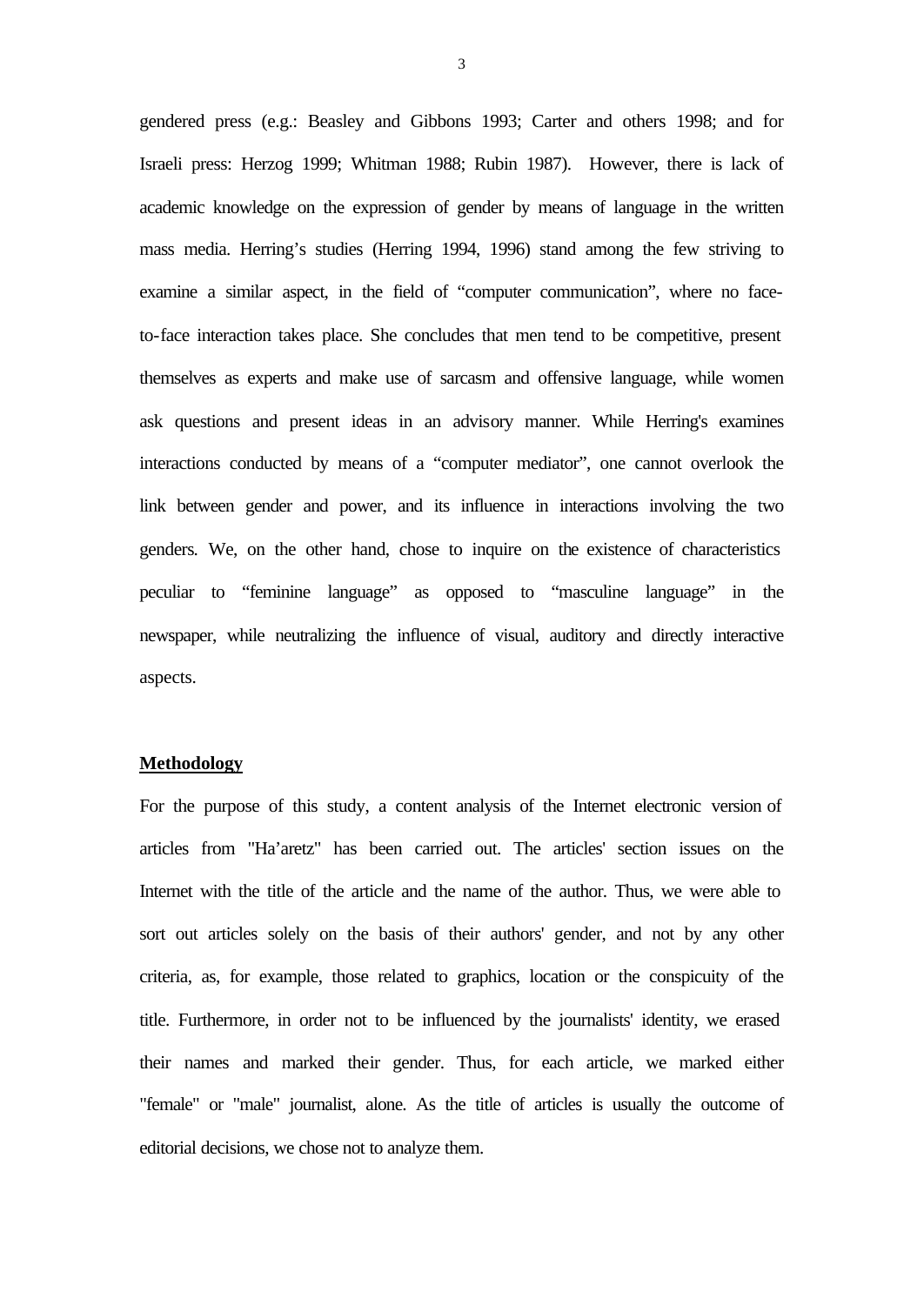gendered press (e.g.: Beasley and Gibbons 1993; Carter and others 1998; and for Israeli press: Herzog 1999; Whitman 1988; Rubin 1987). However, there is lack of academic knowledge on the expression of gender by means of language in the written mass media. Herring's studies (Herring 1994, 1996) stand among the few striving to examine a similar aspect, in the field of "computer communication", where no faceto-face interaction takes place. She concludes that men tend to be competitive, present themselves as experts and make use of sarcasm and offensive language, while women ask questions and present ideas in an advisory manner. While Herring's examines interactions conducted by means of a "computer mediator", one cannot overlook the link between gender and power, and its influence in interactions involving the two genders*.* We, on the other hand, chose to inquire on the existence of characteristics peculiar to "feminine language" as opposed to "masculine language" in the newspaper, while neutralizing the influence of visual, auditory and directly interactive aspects.

# **Methodology**

For the purpose of this study, a content analysis of the Internet electronic version of articles from "Ha'aretz" has been carried out. The articles' section issues on the Internet with the title of the article and the name of the author. Thus, we were able to sort out articles solely on the basis of their authors' gender, and not by any other criteria, as, for example, those related to graphics, location or the conspicuity of the title. Furthermore, in order not to be influenced by the journalists' identity, we erased their names and marked their gender. Thus, for each article, we marked either "female" or "male" journalist, alone. As the title of articles is usually the outcome of editorial decisions, we chose not to analyze them.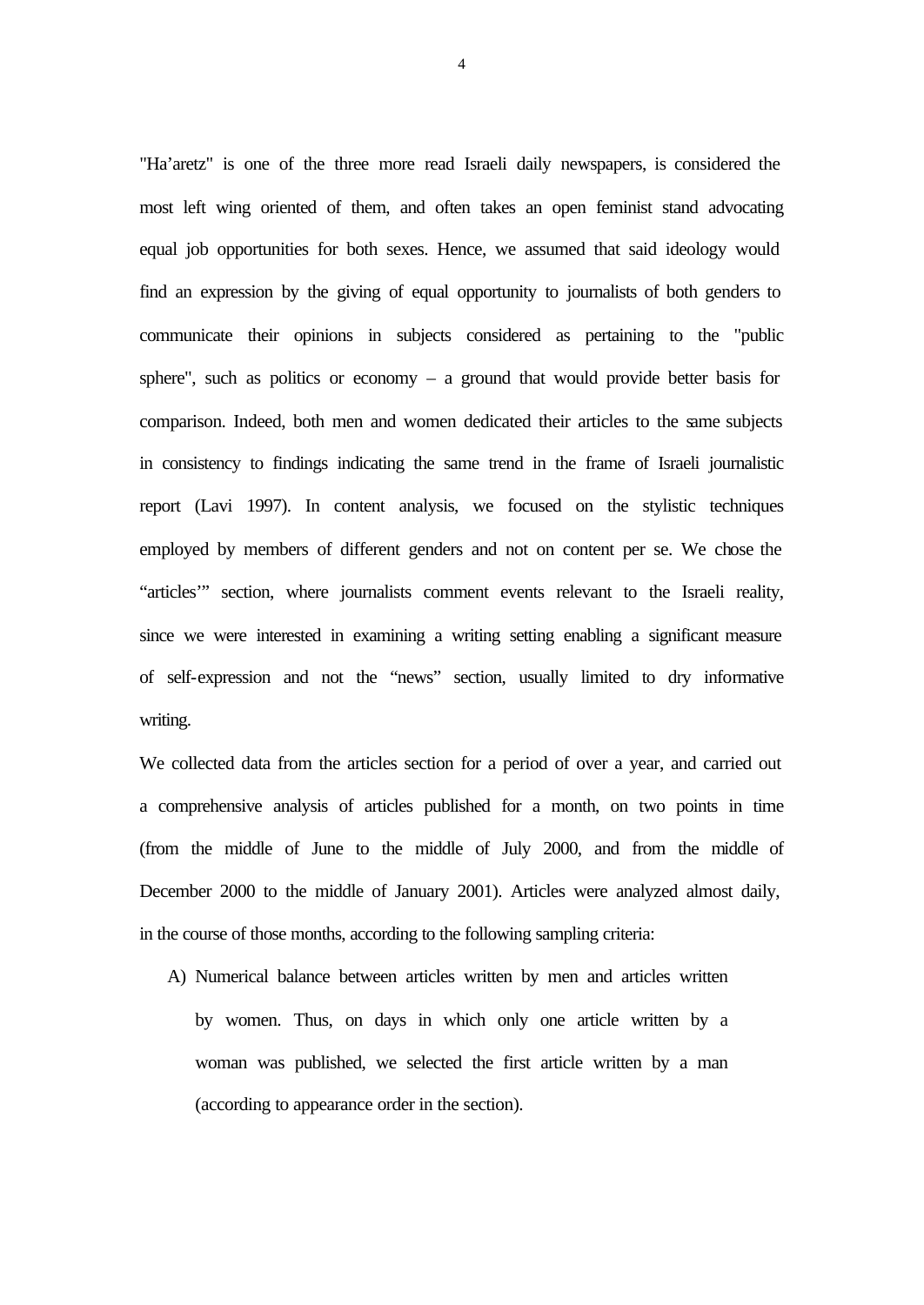"Ha'aretz" is one of the three more read Israeli daily newspapers, is considered the most left wing oriented of them, and often takes an open feminist stand advocating equal job opportunities for both sexes. Hence, we assumed that said ideology would find an expression by the giving of equal opportunity to journalists of both genders to communicate their opinions in subjects considered as pertaining to the "public sphere", such as politics or economy  $-$  a ground that would provide better basis for comparison. Indeed, both men and women dedicated their articles to the same subjects in consistency to findings indicating the same trend in the frame of Israeli journalistic report (Lavi 1997). In content analysis, we focused on the stylistic techniques employed by members of different genders and not on content per se. We chose the "articles'" section, where journalists comment events relevant to the Israeli reality, since we were interested in examining a writing setting enabling a significant measure of self-expression and not the "news" section, usually limited to dry informative writing.

We collected data from the articles section for a period of over a year, and carried out a comprehensive analysis of articles published for a month, on two points in time (from the middle of June to the middle of July 2000, and from the middle of December 2000 to the middle of January 2001). Articles were analyzed almost daily, in the course of those months, according to the following sampling criteria:

A) Numerical balance between articles written by men and articles written by women. Thus, on days in which only one article written by a woman was published, we selected the first article written by a man (according to appearance order in the section).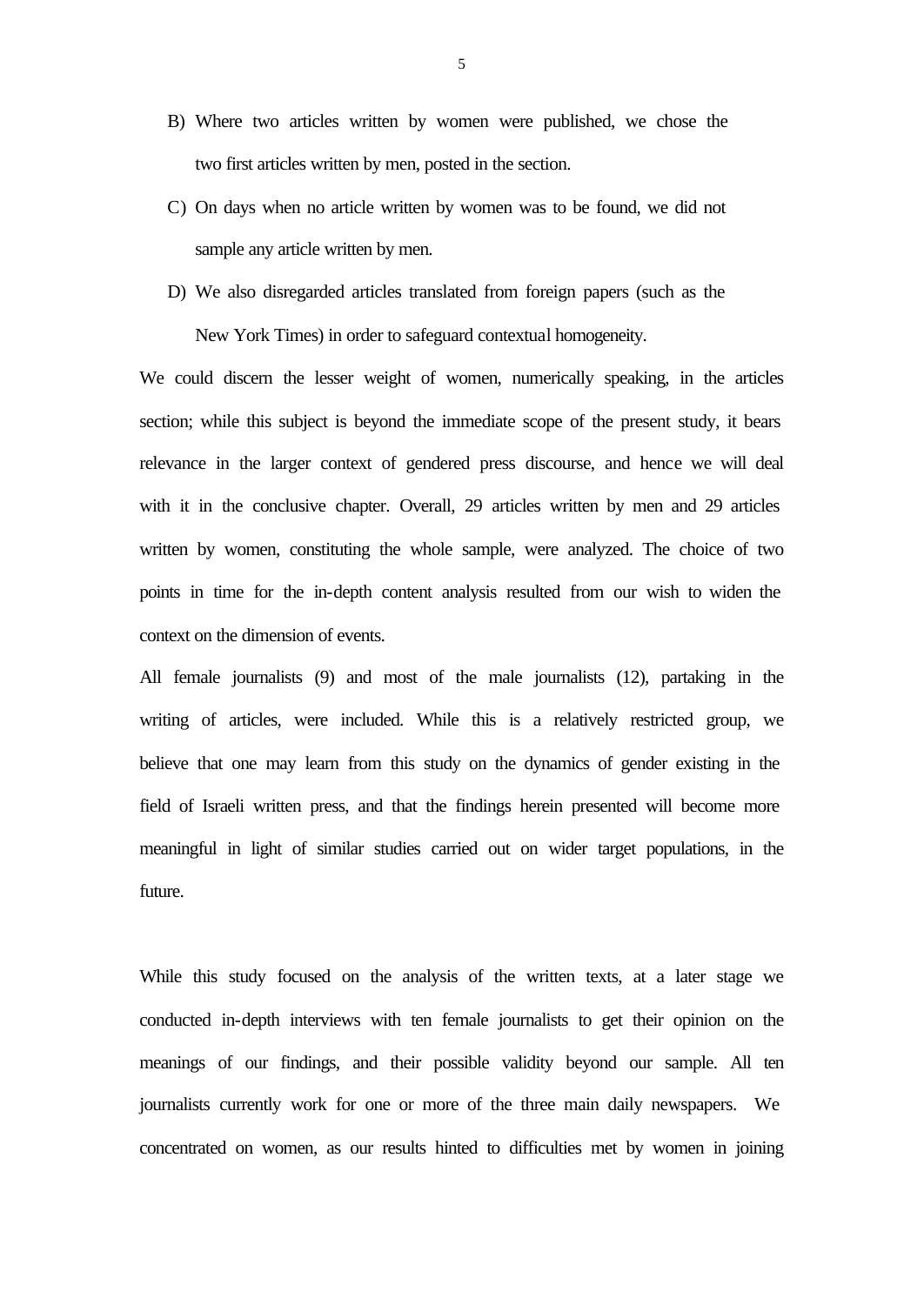- B) Where two articles written by women were published, we chose the two first articles written by men, posted in the section.
- C) On days when no article written by women was to be found, we did not sample any article written by men.
- D) We also disregarded articles translated from foreign papers (such as the New York Times) in order to safeguard contextual homogeneity.

We could discern the lesser weight of women, numerically speaking, in the articles section; while this subject is beyond the immediate scope of the present study, it bears relevance in the larger context of gendered press discourse, and hence we will deal with it in the conclusive chapter. Overall, 29 articles written by men and 29 articles written by women, constituting the whole sample, were analyzed. The choice of two points in time for the in-depth content analysis resulted from our wish to widen the context on the dimension of events.

All female journalists (9) and most of the male journalists (12), partaking in the writing of articles, were included. While this is a relatively restricted group, we believe that one may learn from this study on the dynamics of gender existing in the field of Israeli written press, and that the findings herein presented will become more meaningful in light of similar studies carried out on wider target populations, in the future.

While this study focused on the analysis of the written texts, at a later stage we conducted in-depth interviews with ten female journalists to get their opinion on the meanings of our findings, and their possible validity beyond our sample. All ten journalists currently work for one or more of the three main daily newspapers. We concentrated on women, as our results hinted to difficulties met by women in joining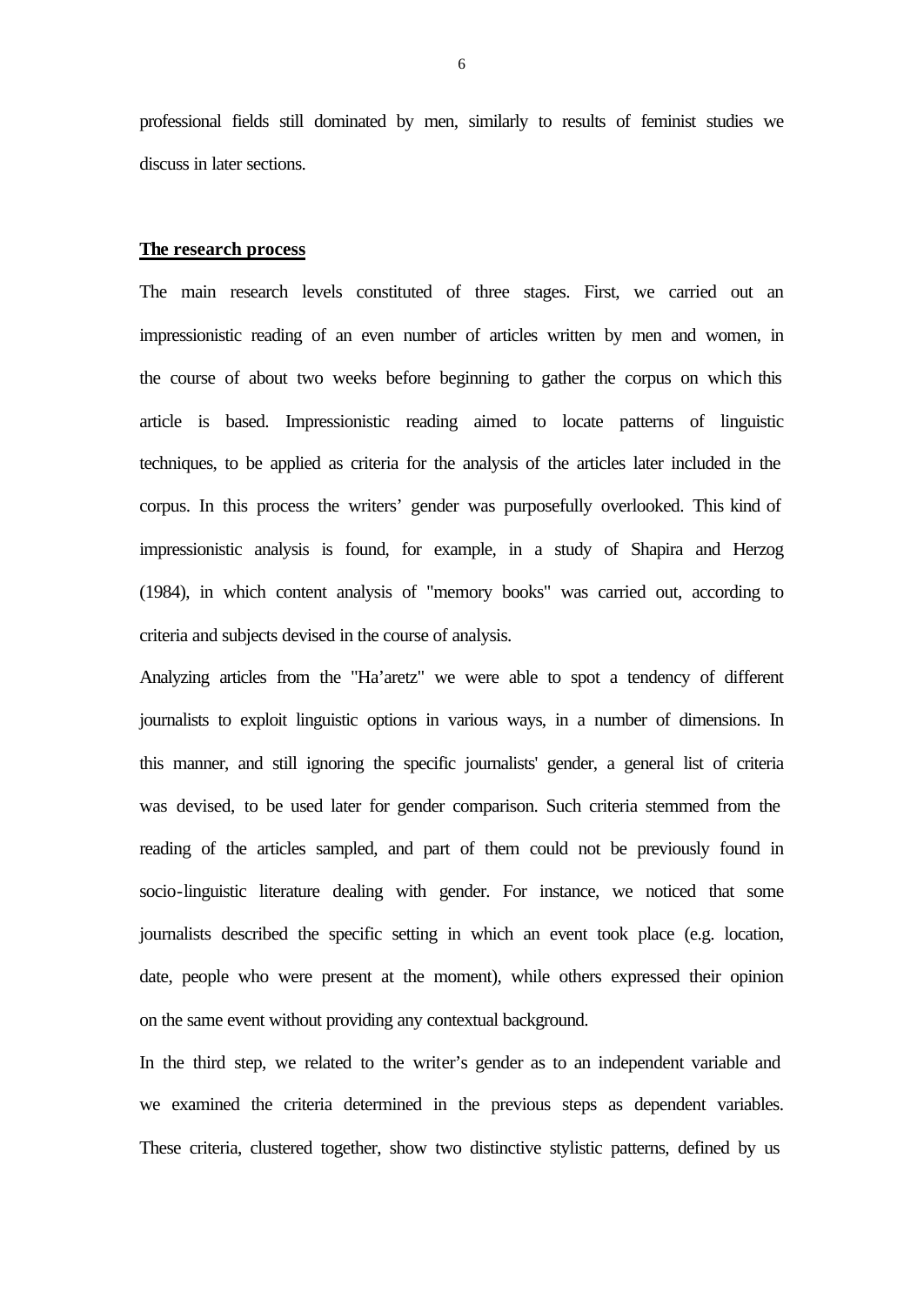professional fields still dominated by men, similarly to results of feminist studies we discuss in later sections.

### **The research process**

The main research levels constituted of three stages. First, we carried out an impressionistic reading of an even number of articles written by men and women, in the course of about two weeks before beginning to gather the corpus on which this article is based. Impressionistic reading aimed to locate patterns of linguistic techniques, to be applied as criteria for the analysis of the articles later included in the corpus. In this process the writers' gender was purposefully overlooked. This kind of impressionistic analysis is found, for example, in a study of Shapira and Herzog (1984), in which content analysis of "memory books" was carried out, according to criteria and subjects devised in the course of analysis.

Analyzing articles from the "Ha'aretz" we were able to spot a tendency of different journalists to exploit linguistic options in various ways, in a number of dimensions. In this manner, and still ignoring the specific journalists' gender, a general list of criteria was devised, to be used later for gender comparison. Such criteria stemmed from the reading of the articles sampled, and part of them could not be previously found in socio-linguistic literature dealing with gender. For instance, we noticed that some journalists described the specific setting in which an event took place (e.g. location, date, people who were present at the moment), while others expressed their opinion on the same event without providing any contextual background.

In the third step, we related to the writer's gender as to an independent variable and we examined the criteria determined in the previous steps as dependent variables. These criteria, clustered together, show two distinctive stylistic patterns, defined by us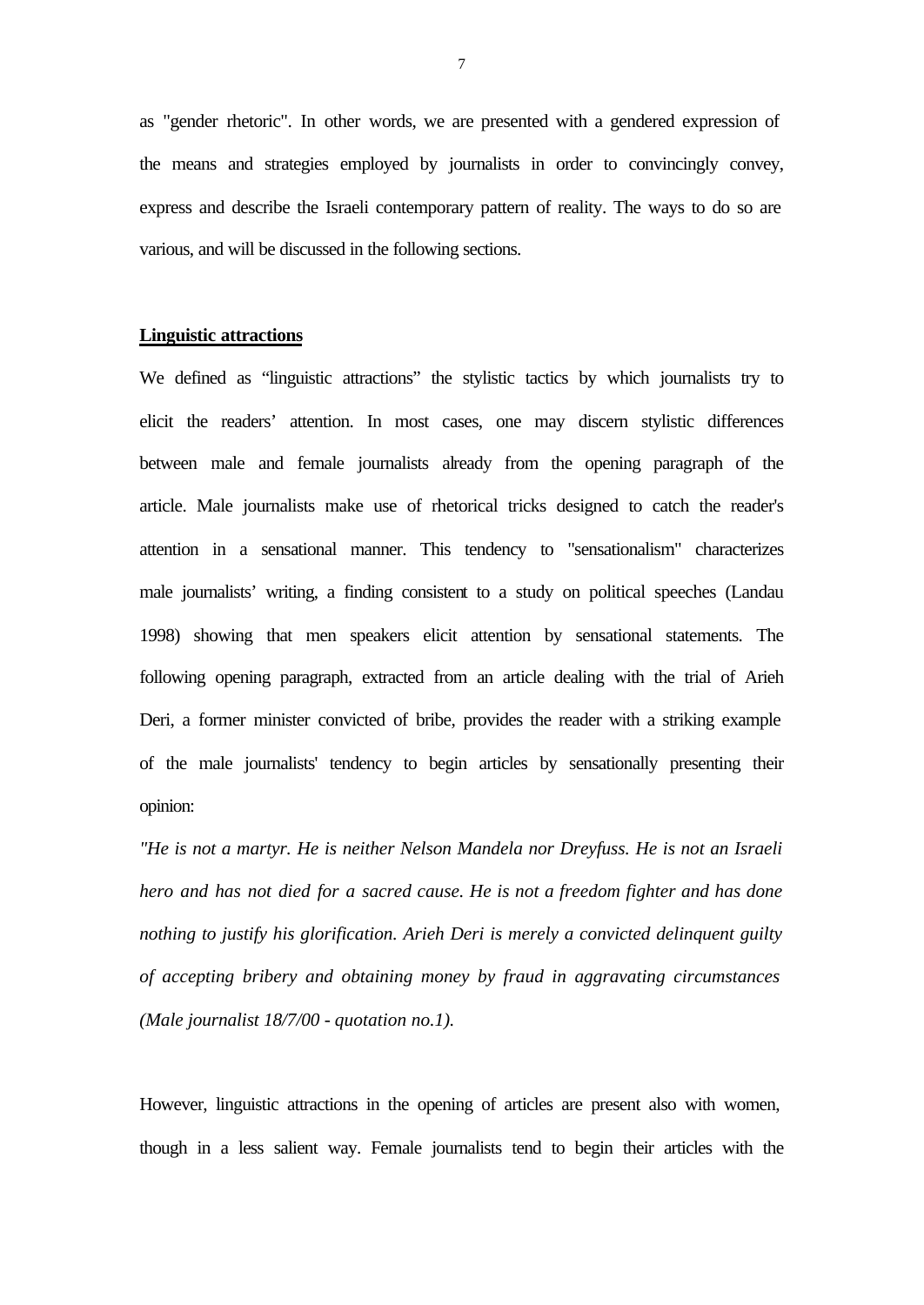as "gender rhetoric". In other words, we are presented with a gendered expression of the means and strategies employed by journalists in order to convincingly convey, express and describe the Israeli contemporary pattern of reality. The ways to do so are various, and will be discussed in the following sections.

## **Linguistic attractions**

We defined as "linguistic attractions" the stylistic tactics by which journalists try to elicit the readers' attention. In most cases, one may discern stylistic differences between male and female journalists already from the opening paragraph of the article. Male journalists make use of rhetorical tricks designed to catch the reader's attention in a sensational manner. This tendency to "sensationalism" characterizes male journalists' writing, a finding consistent to a study on political speeches (Landau 1998) showing that men speakers elicit attention by sensational statements. The following opening paragraph, extracted from an article dealing with the trial of Arieh Deri, a former minister convicted of bribe, provides the reader with a striking example of the male journalists' tendency to begin articles by sensationally presenting their opinion:

*"He is not a martyr. He is neither Nelson Mandela nor Dreyfuss. He is not an Israeli hero and has not died for a sacred cause. He is not a freedom fighter and has done nothing to justify his glorification. Arieh Deri is merely a convicted delinquent guilty of accepting bribery and obtaining money by fraud in aggravating circumstances (Male journalist 18/7/00 - quotation no.1).*

However, linguistic attractions in the opening of articles are present also with women, though in a less salient way. Female journalists tend to begin their articles with the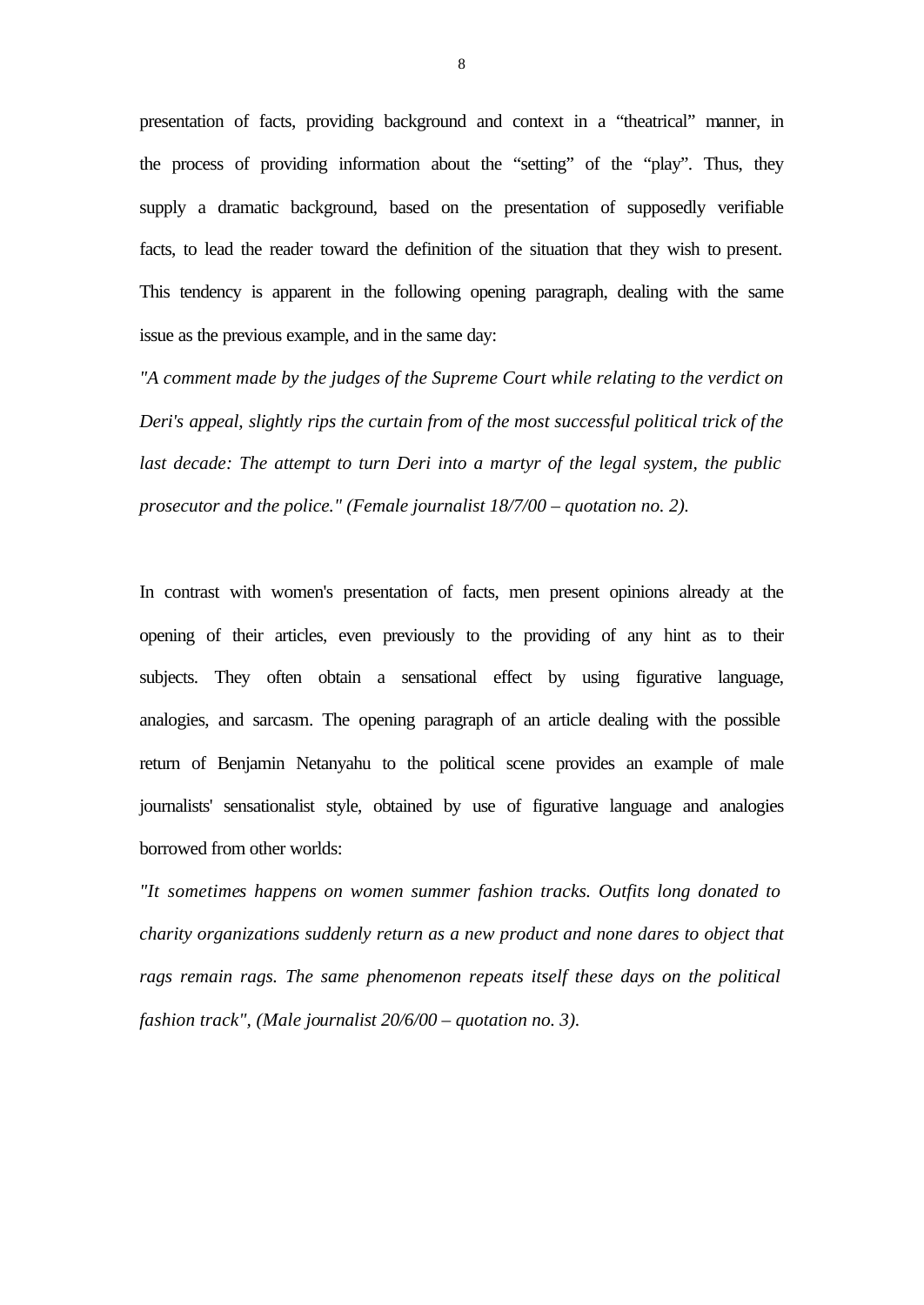presentation of facts, providing background and context in a "theatrical" manner, in the process of providing information about the "setting" of the "play". Thus, they supply a dramatic background, based on the presentation of supposedly verifiable facts, to lead the reader toward the definition of the situation that they wish to present. This tendency is apparent in the following opening paragraph, dealing with the same issue as the previous example, and in the same day:

*"A comment made by the judges of the Supreme Court while relating to the verdict on Deri's appeal, slightly rips the curtain from of the most successful political trick of the last decade: The attempt to turn Deri into a martyr of the legal system, the public prosecutor and the police." (Female journalist 18/7/00 – quotation no. 2).*

In contrast with women's presentation of facts, men present opinions already at the opening of their articles, even previously to the providing of any hint as to their subjects. They often obtain a sensational effect by using figurative language, analogies, and sarcasm. The opening paragraph of an article dealing with the possible return of Benjamin Netanyahu to the political scene provides an example of male journalists' sensationalist style, obtained by use of figurative language and analogies borrowed from other worlds:

*"It sometimes happens on women summer fashion tracks. Outfits long donated to charity organizations suddenly return as a new product and none dares to object that rags remain rags. The same phenomenon repeats itself these days on the political fashion track", (Male journalist 20/6/00 – quotation no. 3).*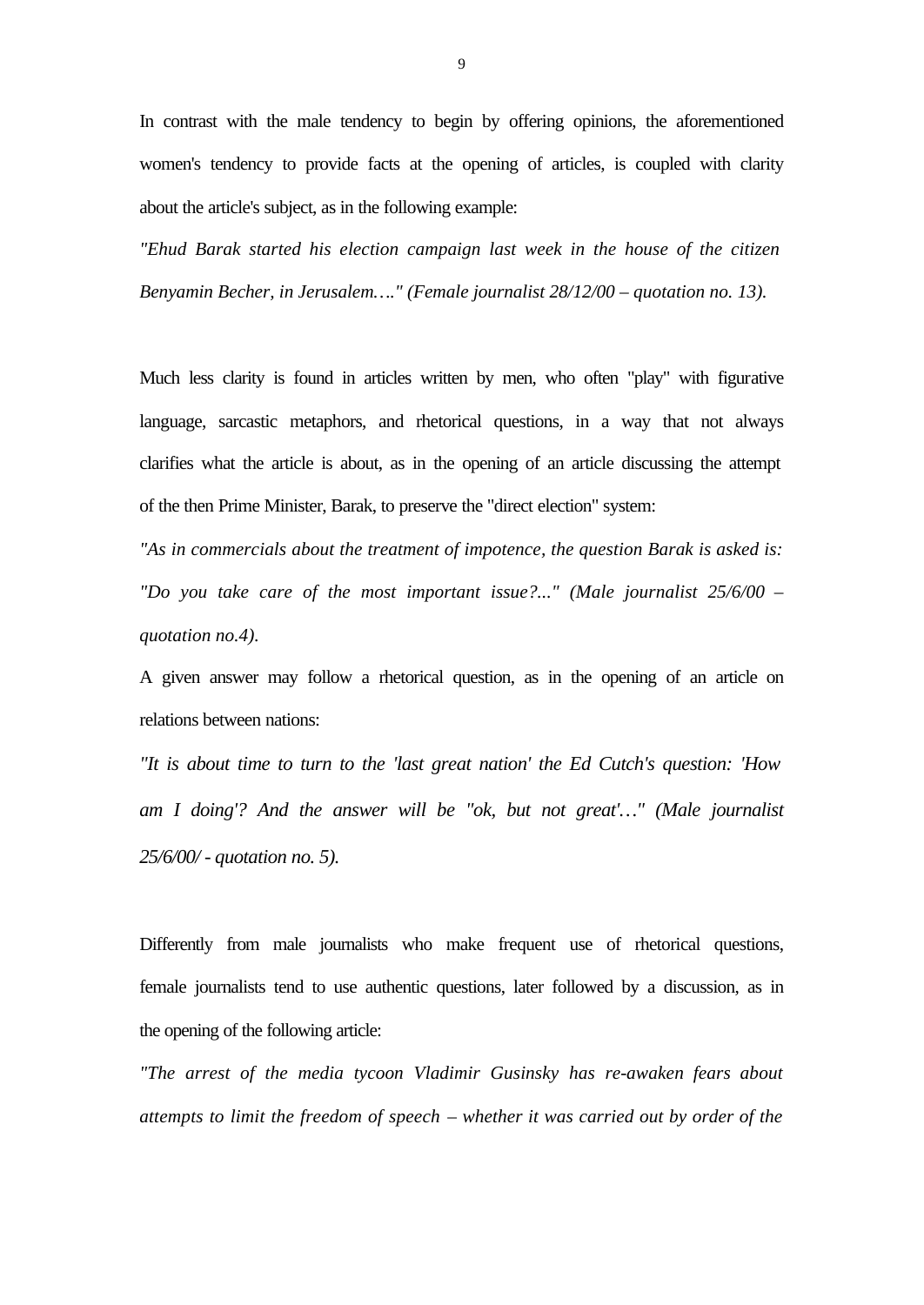In contrast with the male tendency to begin by offering opinions, the aforementioned women's tendency to provide facts at the opening of articles, is coupled with clarity about the article's subject, as in the following example:

*"Ehud Barak started his election campaign last week in the house of the citizen Benyamin Becher, in Jerusalem…." (Female journalist 28/12/00 – quotation no. 13).*

Much less clarity is found in articles written by men, who often "play" with figurative language, sarcastic metaphors, and rhetorical questions, in a way that not always clarifies what the article is about, as in the opening of an article discussing the attempt of the then Prime Minister, Barak, to preserve the "direct election" system:

*"As in commercials about the treatment of impotence, the question Barak is asked is: "Do you take care of the most important issue?..." (Male journalist 25/6/00 – quotation no.4).*

A given answer may follow a rhetorical question, as in the opening of an article on relations between nations:

*"It is about time to turn to the 'last great nation' the Ed Cutch's question: 'How am I doing'? And the answer will be "ok, but not great'…" (Male journalist 25/6/00/ - quotation no. 5).*

Differently from male journalists who make frequent use of rhetorical questions, female journalists tend to use authentic questions, later followed by a discussion, as in the opening of the following article:

*"The arrest of the media tycoon Vladimir Gusinsky has re-awaken fears about attempts to limit the freedom of speech – whether it was carried out by order of the*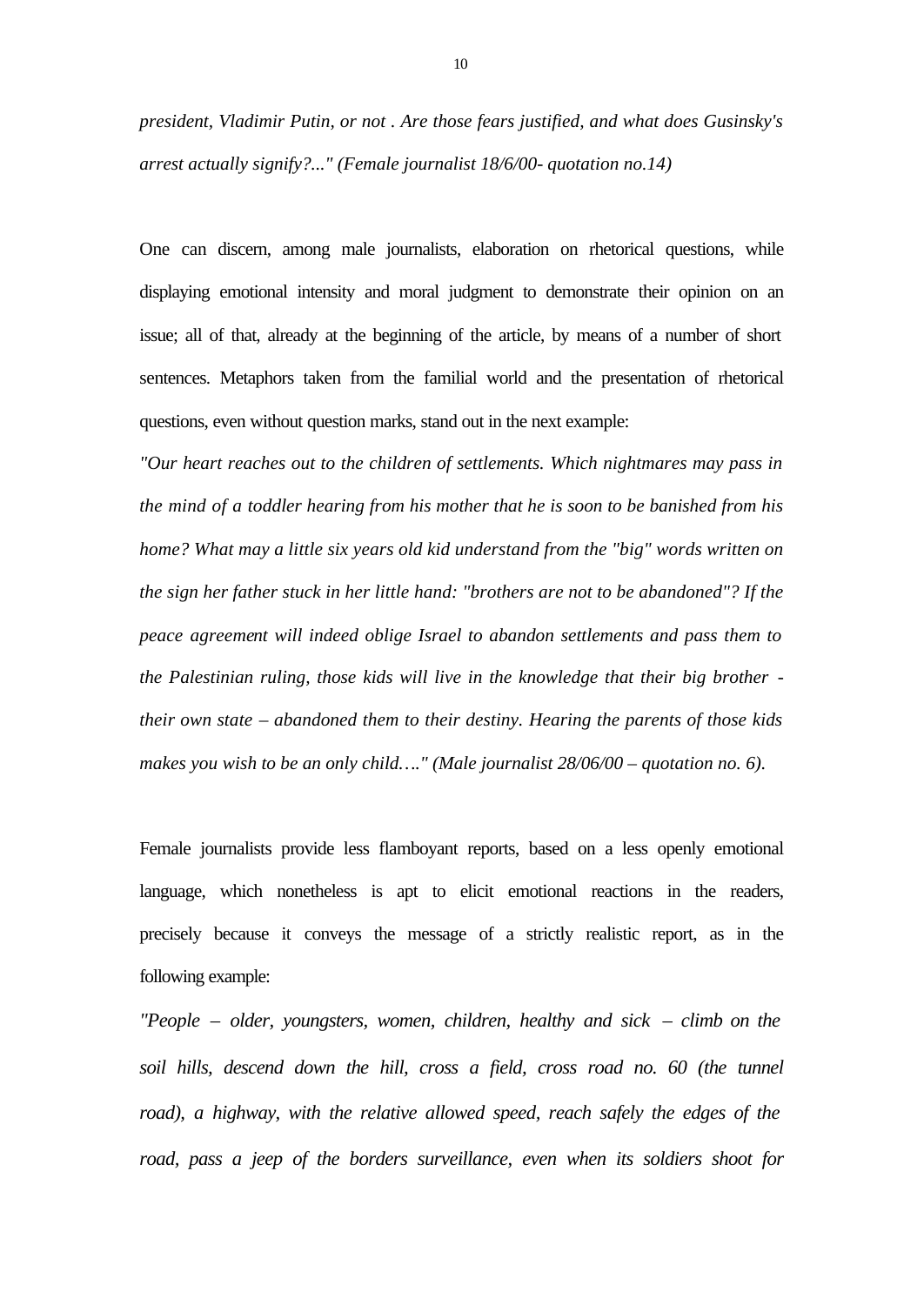*president, Vladimir Putin, or not . Are those fears justified, and what does Gusinsky's arrest actually signify?..." (Female journalist 18/6/00- quotation no.14)*

One can discern, among male journalists, elaboration on rhetorical questions, while displaying emotional intensity and moral judgment to demonstrate their opinion on an issue; all of that, already at the beginning of the article, by means of a number of short sentences. Metaphors taken from the familial world and the presentation of rhetorical questions, even without question marks, stand out in the next example:

*"Our heart reaches out to the children of settlements. Which nightmares may pass in the mind of a toddler hearing from his mother that he is soon to be banished from his home? What may a little six years old kid understand from the "big" words written on the sign her father stuck in her little hand: "brothers are not to be abandoned"? If the peace agreement will indeed oblige Israel to abandon settlements and pass them to the Palestinian ruling, those kids will live in the knowledge that their big brother their own state – abandoned them to their destiny. Hearing the parents of those kids makes you wish to be an only child…." (Male journalist 28/06/00 – quotation no. 6).*

Female journalists provide less flamboyant reports, based on a less openly emotional language, which nonetheless is apt to elicit emotional reactions in the readers, precisely because it conveys the message of a strictly realistic report, as in the following example:

*"People – older, youngsters, women, children, healthy and sick – climb on the soil hills, descend down the hill, cross a field, cross road no. 60 (the tunnel* road), a highway, with the relative allowed speed, reach safely the edges of the *road, pass a jeep of the borders surveillance, even when its soldiers shoot for*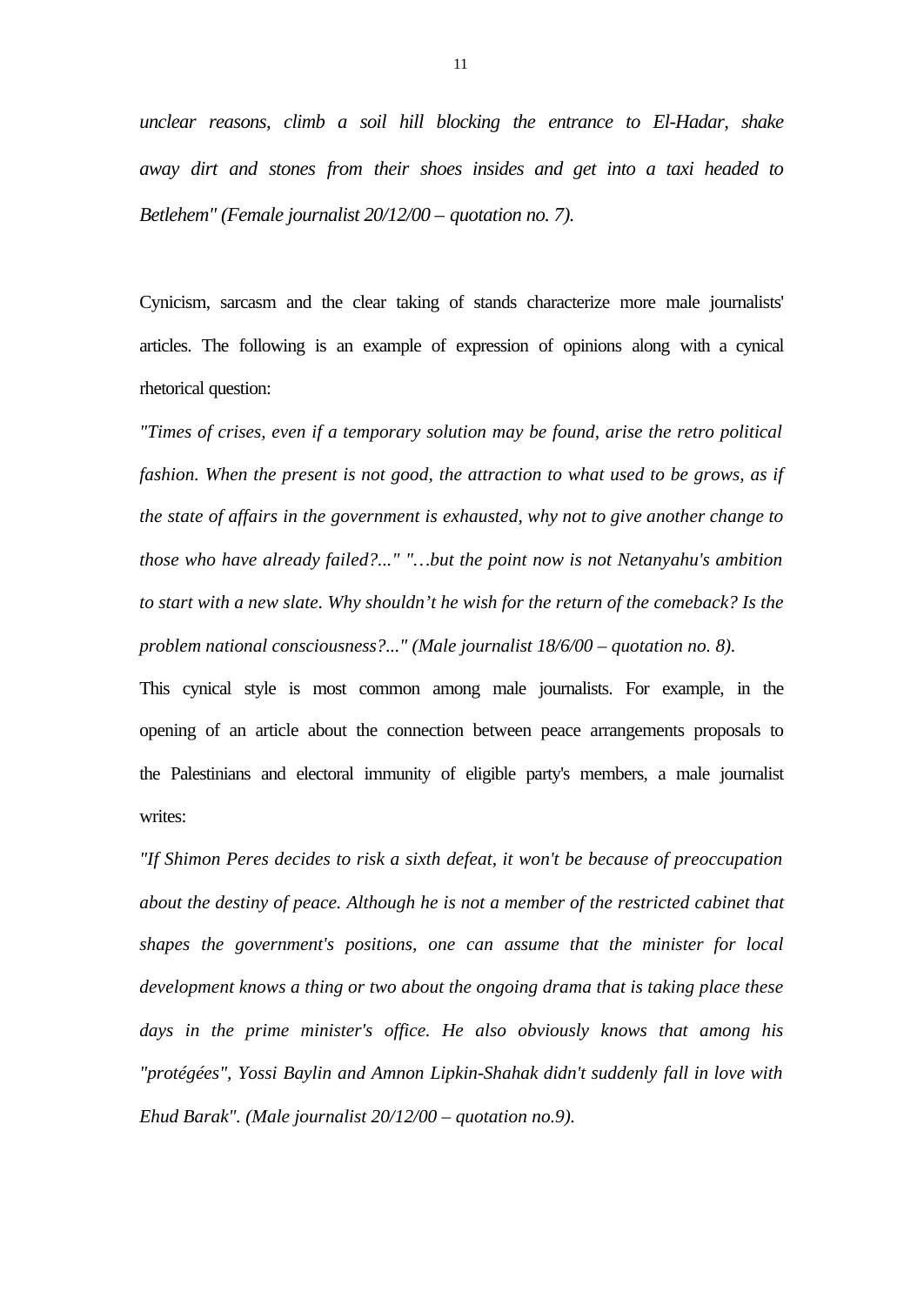*unclear reasons, climb a soil hill blocking the entrance to El-Hadar, shake away dirt and stones from their shoes insides and get into a taxi headed to Betlehem" (Female journalist 20/12/00 – quotation no. 7).*

Cynicism, sarcasm and the clear taking of stands characterize more male journalists' articles. The following is an example of expression of opinions along with a cynical rhetorical question:

*"Times of crises, even if a temporary solution may be found, arise the retro political fashion. When the present is not good, the attraction to what used to be grows, as if the state of affairs in the government is exhausted, why not to give another change to those who have already failed?..." "…but the point now is not Netanyahu's ambition to start with a new slate. Why shouldn't he wish for the return of the comeback? Is the problem national consciousness?..." (Male journalist 18/6/00 – quotation no. 8).*

This cynical style is most common among male journalists. For example, in the opening of an article about the connection between peace arrangements proposals to the Palestinians and electoral immunity of eligible party's members, a male journalist writes:

*"If Shimon Peres decides to risk a sixth defeat, it won't be because of preoccupation about the destiny of peace. Although he is not a member of the restricted cabinet that shapes the government's positions, one can assume that the minister for local development knows a thing or two about the ongoing drama that is taking place these days in the prime minister's office. He also obviously knows that among his "protégées", Yossi Baylin and Amnon Lipkin-Shahak didn't suddenly fall in love with Ehud Barak". (Male journalist 20/12/00 – quotation no.9).*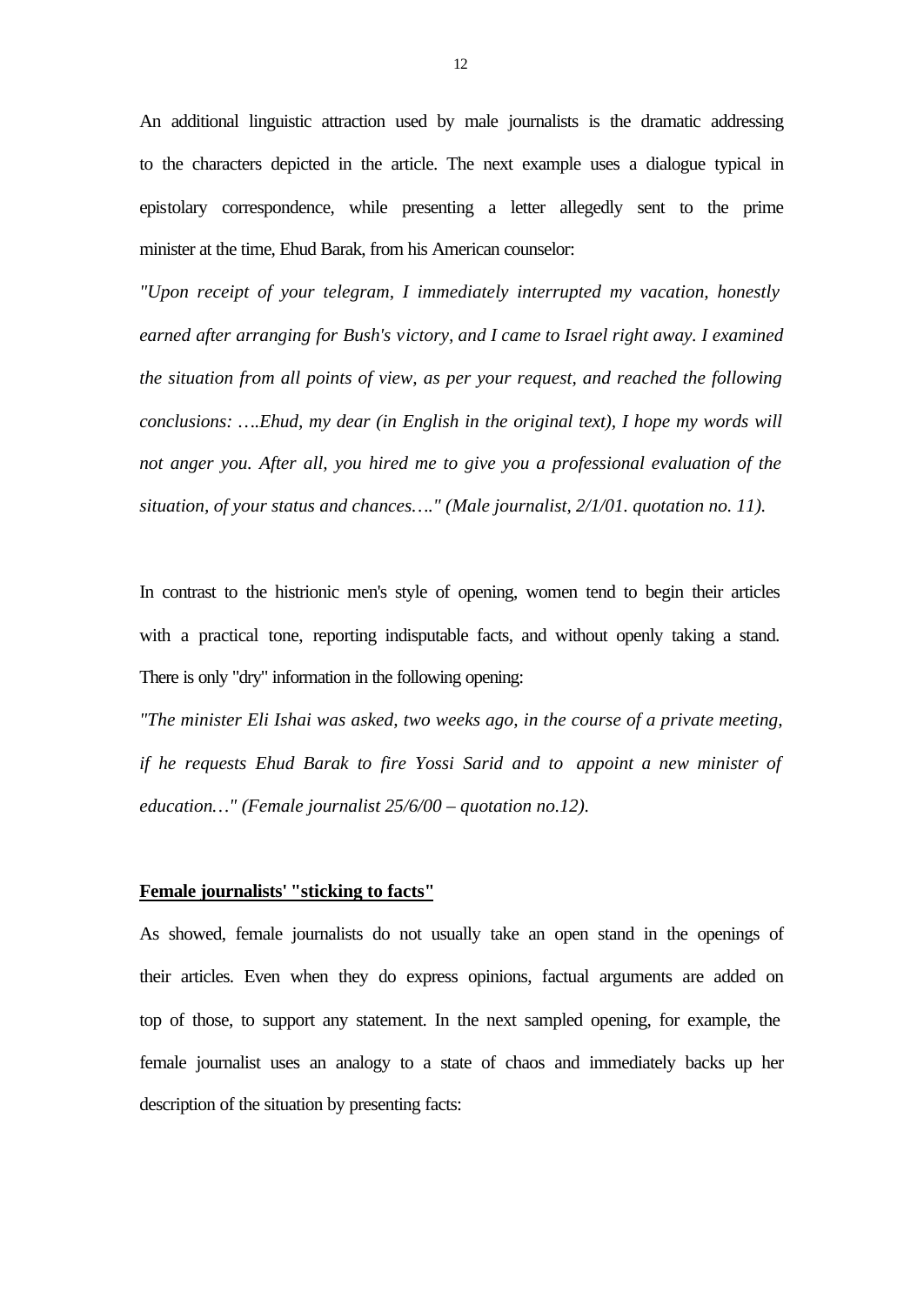An additional linguistic attraction used by male journalists is the dramatic addressing to the characters depicted in the article. The next example uses a dialogue typical in epistolary correspondence, while presenting a letter allegedly sent to the prime minister at the time, Ehud Barak, from his American counselor:

*"Upon receipt of your telegram, I immediately interrupted my vacation, honestly earned after arranging for Bush's victory, and I came to Israel right away. I examined the situation from all points of view, as per your request, and reached the following conclusions: ….Ehud, my dear (in English in the original text), I hope my words will not anger you. After all, you hired me to give you a professional evaluation of the situation, of your status and chances…." (Male journalist, 2/1/01. quotation no. 11).*

In contrast to the histrionic men's style of opening, women tend to begin their articles with a practical tone, reporting indisputable facts, and without openly taking a stand. There is only "dry" information in the following opening:

*"The minister Eli Ishai was asked, two weeks ago, in the course of a private meeting, if he requests Ehud Barak to fire Yossi Sarid and to appoint a new minister of education…" (Female journalist 25/6/00 – quotation no.12).*

# **Female journalists' "sticking to facts"**

As showed, female journalists do not usually take an open stand in the openings of their articles. Even when they do express opinions, factual arguments are added on top of those, to support any statement. In the next sampled opening, for example, the female journalist uses an analogy to a state of chaos and immediately backs up her description of the situation by presenting facts: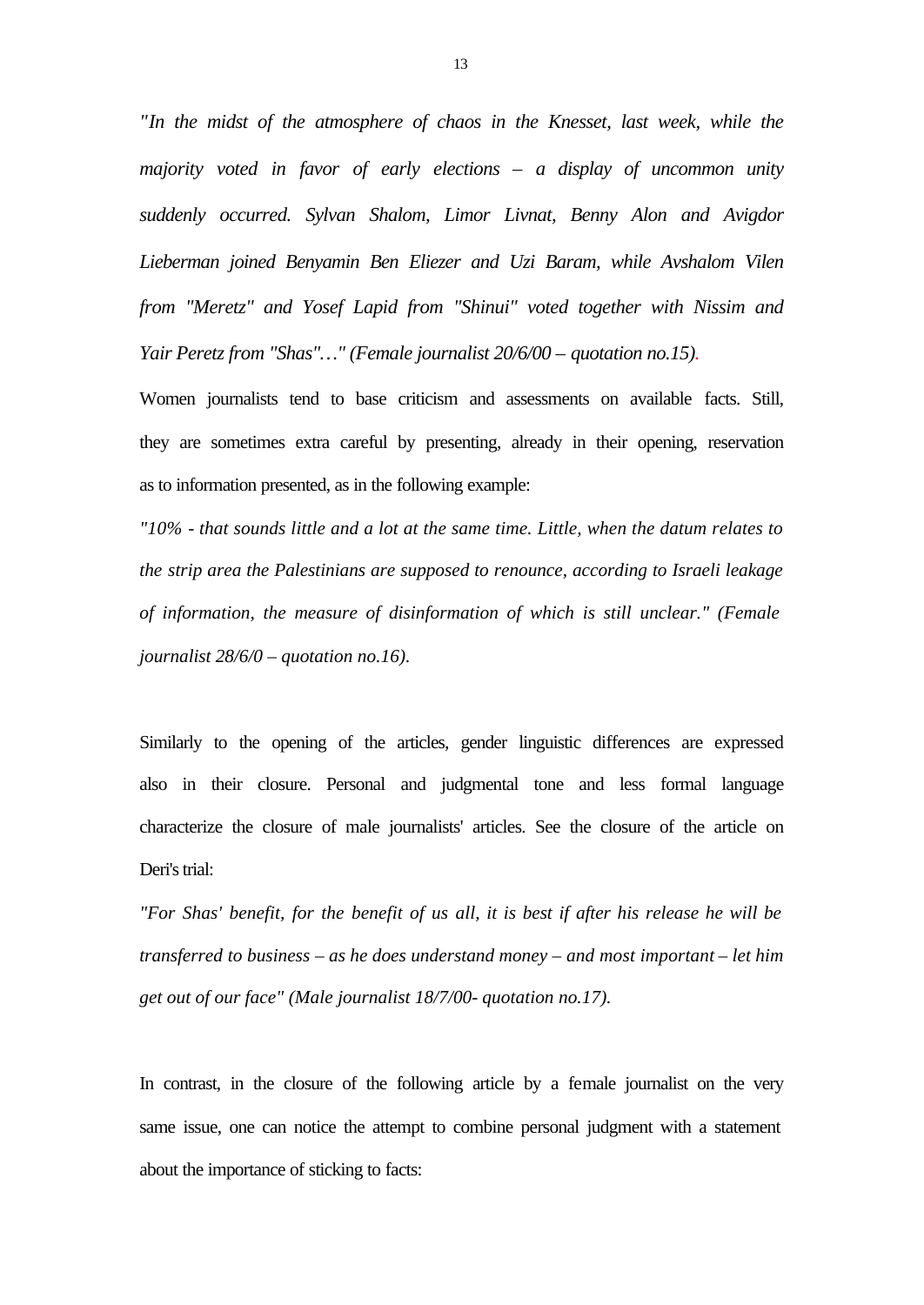*"In the midst of the atmosphere of chaos in the Knesset, last week, while the majority voted in favor of early elections – a display of uncommon unity suddenly occurred. Sylvan Shalom, Limor Livnat, Benny Alon and Avigdor Lieberman joined Benyamin Ben Eliezer and Uzi Baram, while Avshalom Vilen from "Meretz" and Yosef Lapid from "Shinui" voted together with Nissim and Yair Peretz from "Shas"…" (Female journalist 20/6/00 – quotation no.15).*

Women journalists tend to base criticism and assessments on available facts. Still, they are sometimes extra careful by presenting, already in their opening, reservation as to information presented, as in the following example:

*"10% - that sounds little and a lot at the same time. Little, when the datum relates to the strip area the Palestinians are supposed to renounce, according to Israeli leakage of information, the measure of disinformation of which is still unclear." (Female journalist 28/6/0 – quotation no.16).*

Similarly to the opening of the articles, gender linguistic differences are expressed also in their closure. Personal and judgmental tone and less formal language characterize the closure of male journalists' articles. See the closure of the article on Deri's trial:

*"For Shas' benefit, for the benefit of us all, it is best if after his release he will be transferred to business – as he does understand money – and most important – let him get out of our face" (Male journalist 18/7/00- quotation no.17).*

In contrast, in the closure of the following article by a female journalist on the very same issue, one can notice the attempt to combine personal judgment with a statement about the importance of sticking to facts: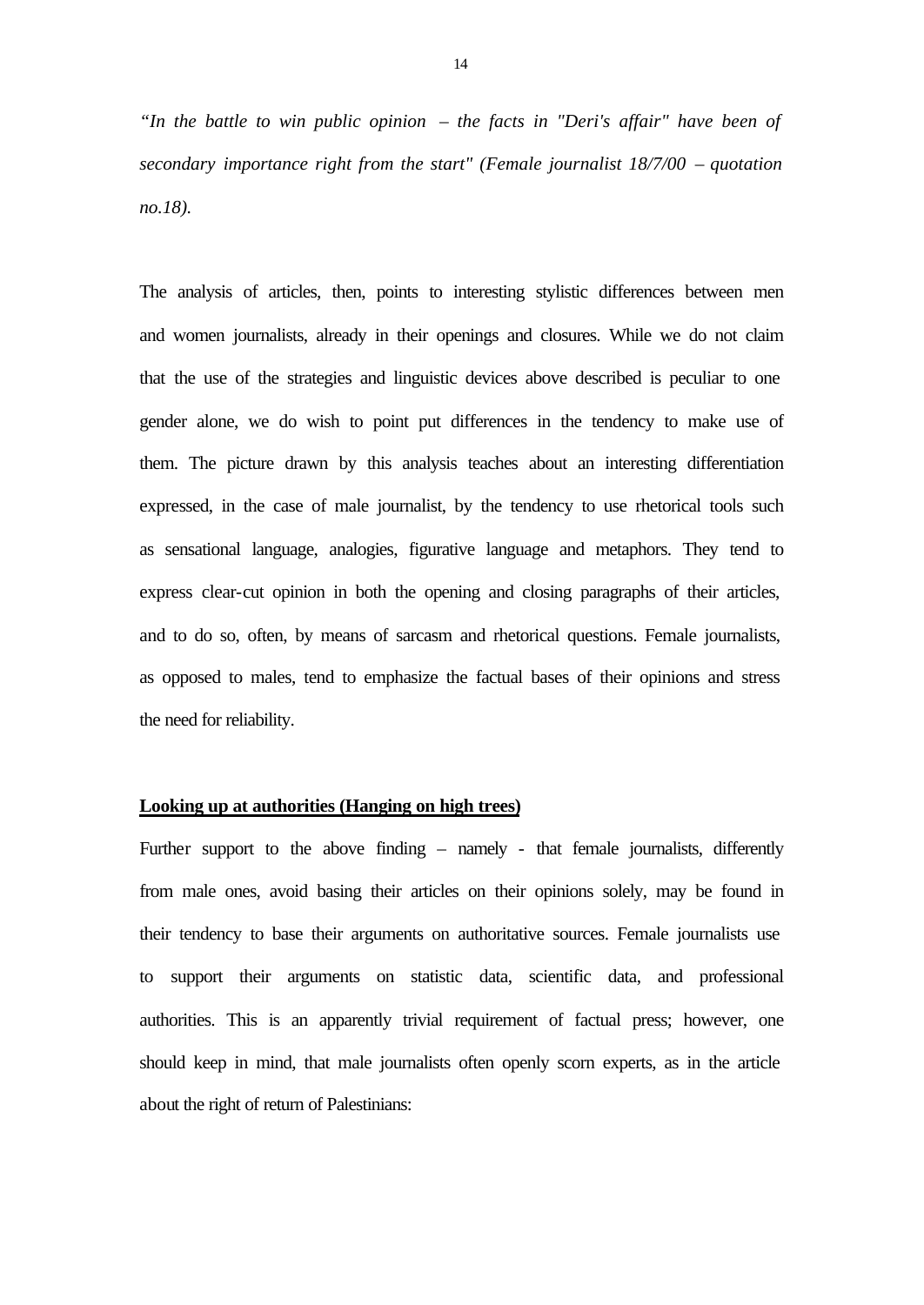*"In the battle to win public opinion – the facts in "Deri's affair" have been of secondary importance right from the start" (Female journalist 18/7/00 – quotation no.18).*

The analysis of articles, then, points to interesting stylistic differences between men and women journalists, already in their openings and closures. While we do not claim that the use of the strategies and linguistic devices above described is peculiar to one gender alone, we do wish to point put differences in the tendency to make use of them. The picture drawn by this analysis teaches about an interesting differentiation expressed, in the case of male journalist, by the tendency to use rhetorical tools such as sensational language, analogies, figurative language and metaphors. They tend to express clear-cut opinion in both the opening and closing paragraphs of their articles, and to do so, often, by means of sarcasm and rhetorical questions. Female journalists, as opposed to males, tend to emphasize the factual bases of their opinions and stress the need for reliability.

# **Looking up at authorities (Hanging on high trees)**

Further support to the above finding – namely - that female journalists, differently from male ones, avoid basing their articles on their opinions solely, may be found in their tendency to base their arguments on authoritative sources. Female journalists use to support their arguments on statistic data, scientific data, and professional authorities. This is an apparently trivial requirement of factual press; however, one should keep in mind, that male journalists often openly scorn experts, as in the article about the right of return of Palestinians: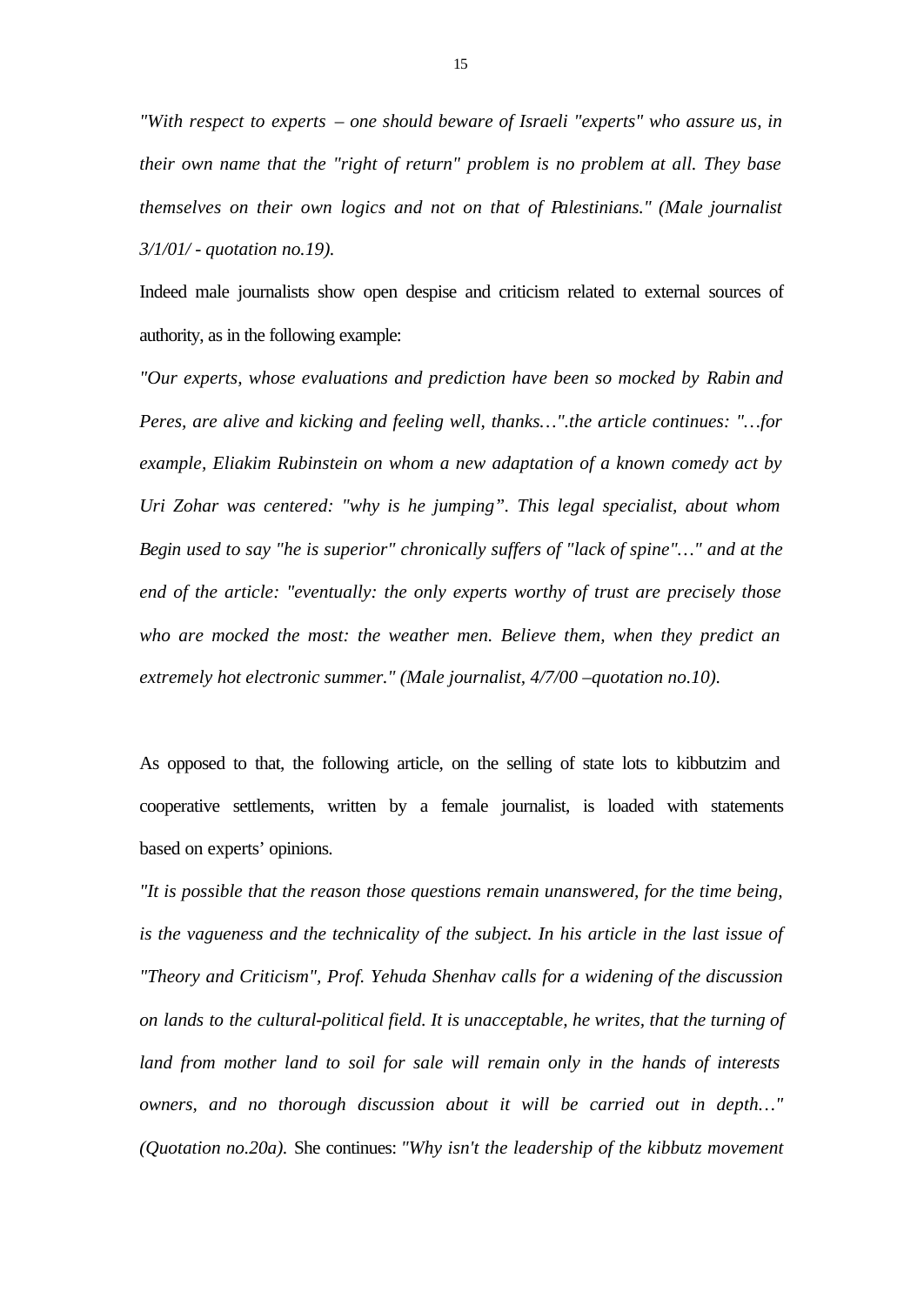*"With respect to experts – one should beware of Israeli "experts" who assure us, in their own name that the "right of return" problem is no problem at all. They base themselves on their own logics and not on that of Palestinians." (Male journalist 3/1/01/ - quotation no.19).*

Indeed male journalists show open despise and criticism related to external sources of authority, as in the following example:

*"Our experts, whose evaluations and prediction have been so mocked by Rabin and Peres, are alive and kicking and feeling well, thanks…".the article continues: "…for example, Eliakim Rubinstein on whom a new adaptation of a known comedy act by Uri Zohar was centered: "why is he jumping". This legal specialist, about whom Begin used to say "he is superior" chronically suffers of "lack of spine"…" and at the end of the article: "eventually: the only experts worthy of trust are precisely those who are mocked the most: the weather men. Believe them, when they predict an extremely hot electronic summer." (Male journalist, 4/7/00 –quotation no.10).*

As opposed to that, the following article, on the selling of state lots to kibbutzim and cooperative settlements, written by a female journalist, is loaded with statements based on experts' opinions.

*"It is possible that the reason those questions remain unanswered, for the time being, is the vagueness and the technicality of the subject. In his article in the last issue of "Theory and Criticism", Prof. Yehuda Shenhav calls for a widening of the discussion on lands to the cultural-political field. It is unacceptable, he writes, that the turning of land from mother land to soil for sale will remain only in the hands of interests owners, and no thorough discussion about it will be carried out in depth…" (Quotation no.20a).* She continues: *"Why isn't the leadership of the kibbutz movement*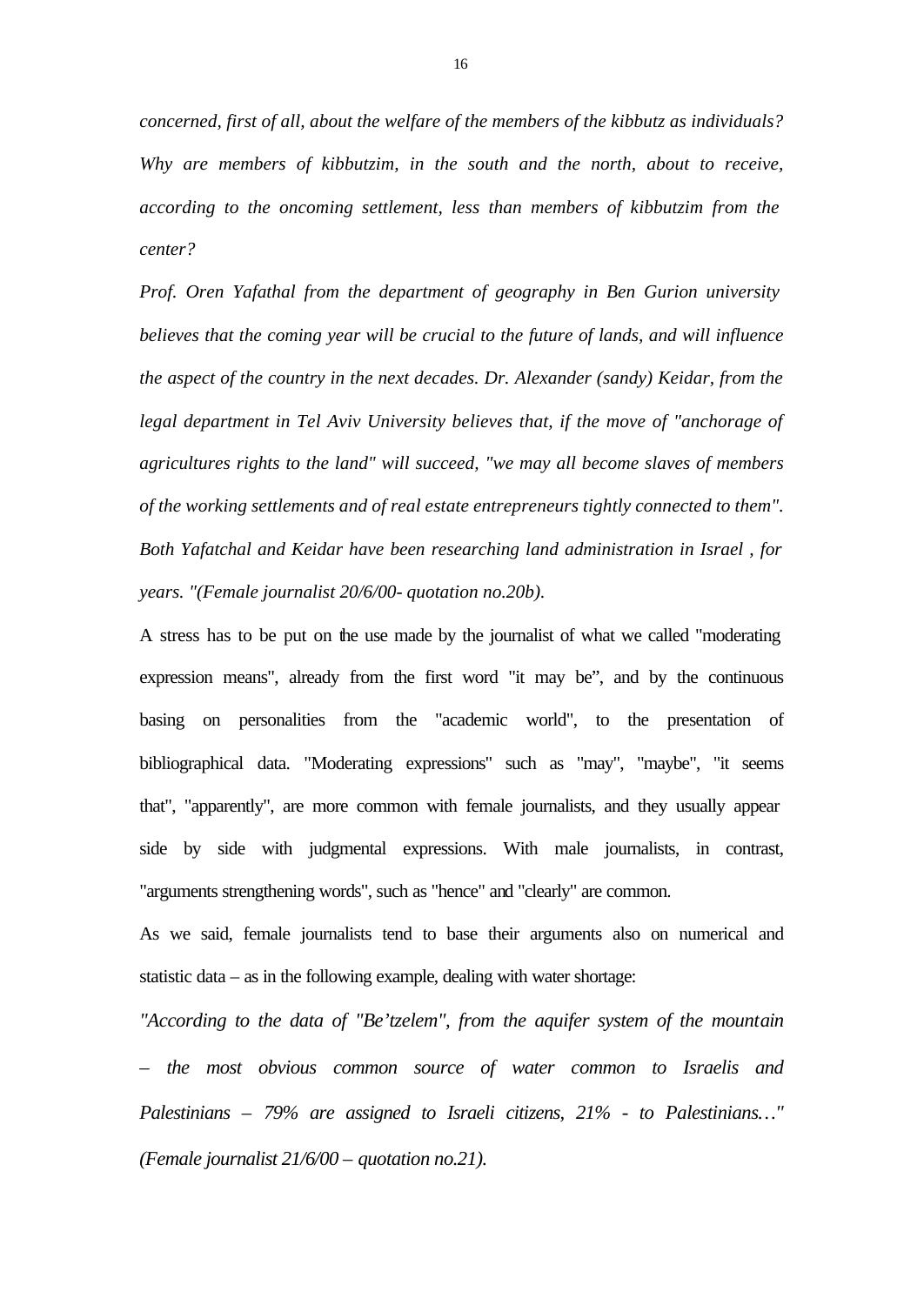*concerned, first of all, about the welfare of the members of the kibbutz as individuals? Why are members of kibbutzim, in the south and the north, about to receive, according to the oncoming settlement, less than members of kibbutzim from the center?*

*Prof. Oren Yafathal from the department of geography in Ben Gurion university believes that the coming year will be crucial to the future of lands, and will influence the aspect of the country in the next decades. Dr. Alexander (sandy) Keidar, from the legal department in Tel Aviv University believes that, if the move of "anchorage of*" *agricultures rights to the land" will succeed, "we may all become slaves of members of the working settlements and of real estate entrepreneurs tightly connected to them". Both Yafatchal and Keidar have been researching land administration in Israel , for years. "(Female journalist 20/6/00- quotation no.20b).*

A stress has to be put on the use made by the journalist of what we called "moderating expression means", already from the first word "it may be", and by the continuous basing on personalities from the "academic world", to the presentation of bibliographical data. "Moderating expressions" such as "may", "maybe", "it seems that", "apparently", are more common with female journalists, and they usually appear side by side with judgmental expressions. With male journalists, in contrast, "arguments strengthening words", such as "hence" and "clearly" are common.

As we said, female journalists tend to base their arguments also on numerical and statistic data – as in the following example, dealing with water shortage:

*"According to the data of "Be'tzelem", from the aquifer system of the mountain – the most obvious common source of water common to Israelis and Palestinians – 79% are assigned to Israeli citizens, 21% - to Palestinians…" (Female journalist 21/6/00 – quotation no.21).*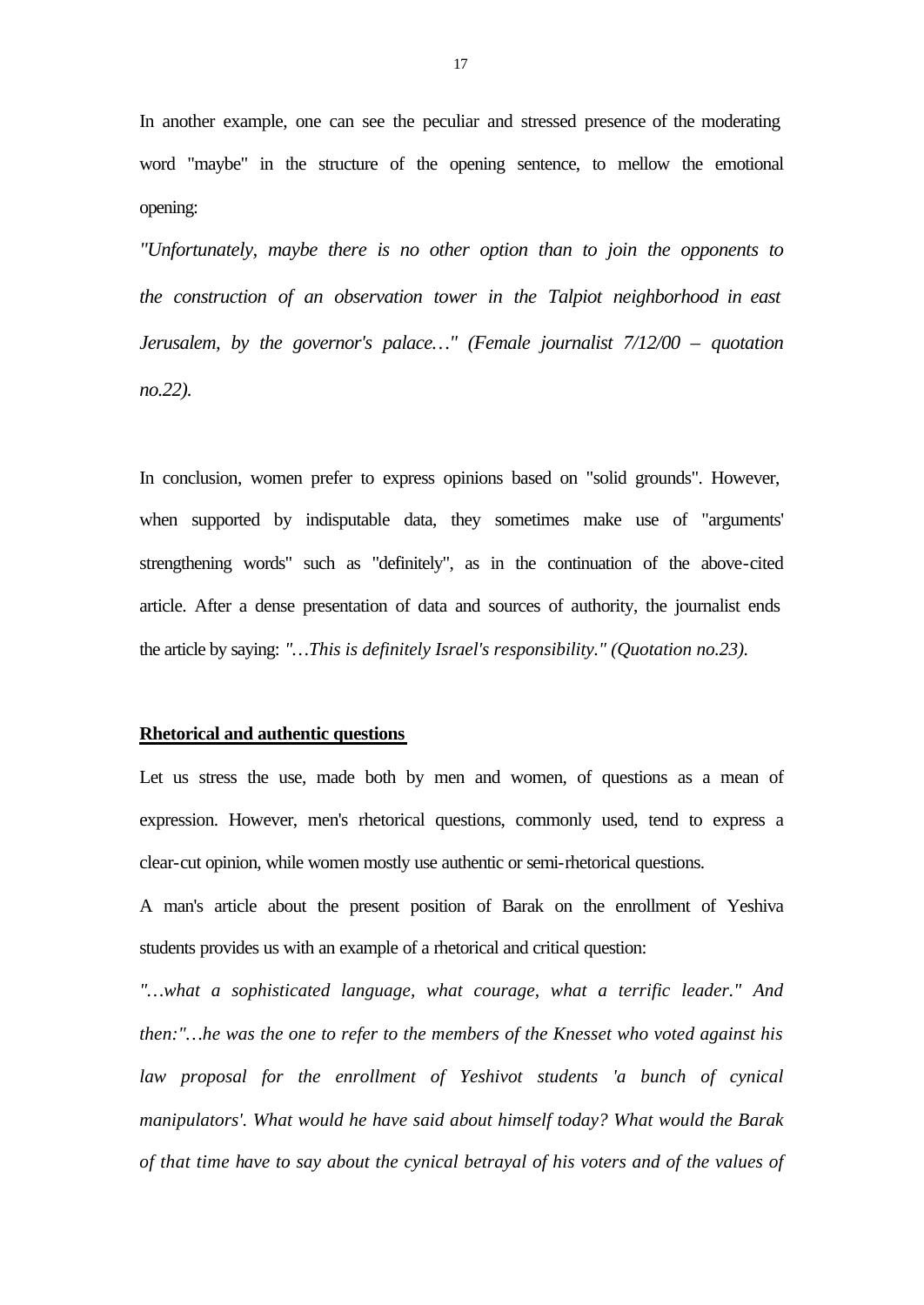In another example, one can see the peculiar and stressed presence of the moderating word "maybe" in the structure of the opening sentence, to mellow the emotional opening:

*"Unfortunately, maybe there is no other option than to join the opponents to the construction of an observation tower in the Talpiot neighborhood in east Jerusalem, by the governor's palace…" (Female journalist 7/12/00 – quotation no.22).*

In conclusion, women prefer to express opinions based on "solid grounds". However, when supported by indisputable data, they sometimes make use of "arguments' strengthening words" such as "definitely", as in the continuation of the above-cited article. After a dense presentation of data and sources of authority, the journalist ends the article by saying: *"…This is definitely Israel's responsibility." (Quotation no.23).*

## **Rhetorical and authentic questions**

Let us stress the use, made both by men and women, of questions as a mean of expression. However, men's rhetorical questions, commonly used, tend to express a clear-cut opinion, while women mostly use authentic or semi-rhetorical questions.

A man's article about the present position of Barak on the enrollment of Yeshiva students provides us with an example of a rhetorical and critical question:

*"…what a sophisticated language, what courage, what a terrific leader." And then:"…he was the one to refer to the members of the Knesset who voted against his law proposal for the enrollment of Yeshivot students 'a bunch of cynical manipulators'. What would he have said about himself today? What would the Barak of that time have to say about the cynical betrayal of his voters and of the values of*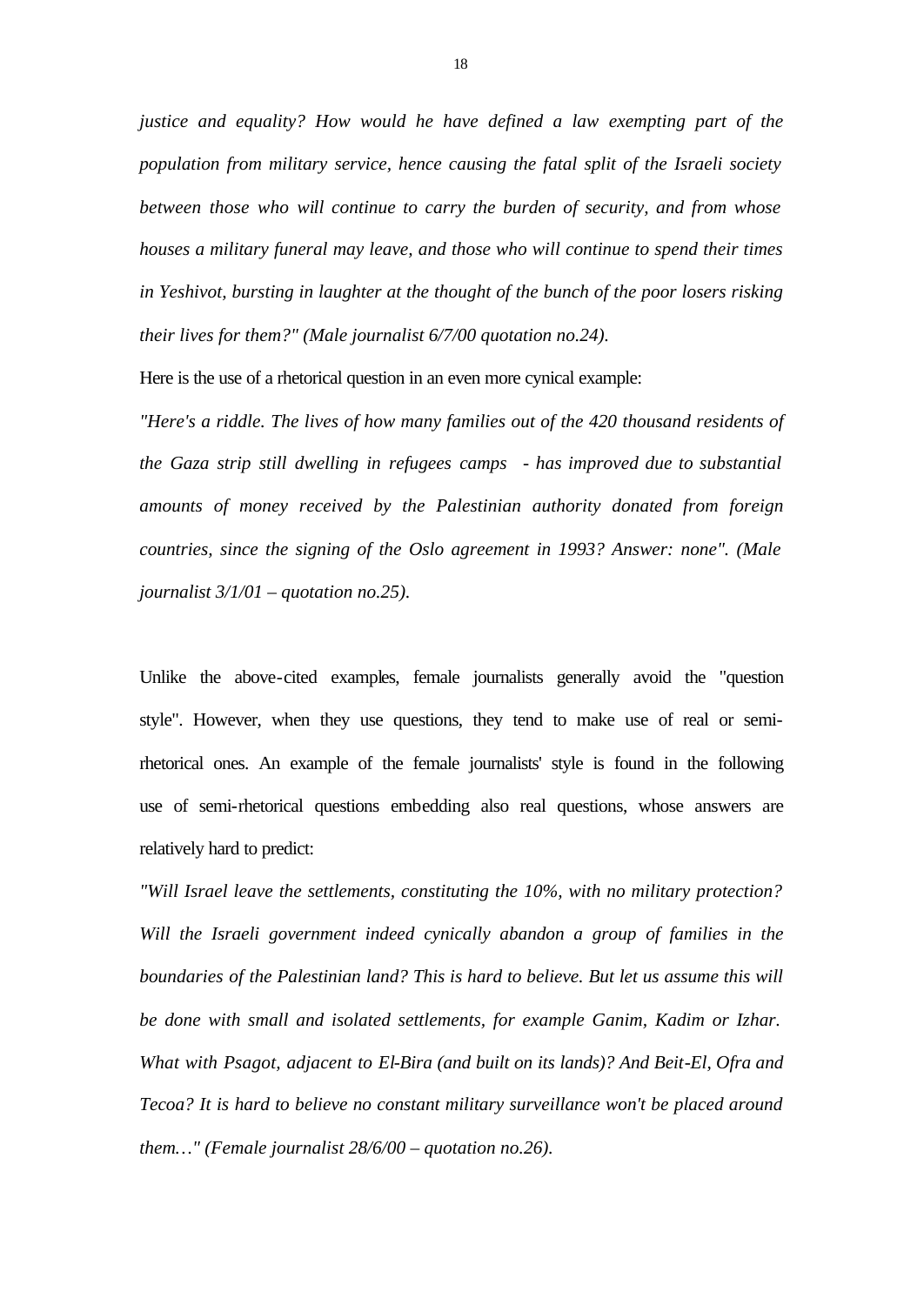*justice and equality? How would he have defined a law exempting part of the population from military service, hence causing the fatal split of the Israeli society between those who will continue to carry the burden of security, and from whose houses a military funeral may leave, and those who will continue to spend their times in Yeshivot, bursting in laughter at the thought of the bunch of the poor losers risking their lives for them?" (Male journalist 6/7/00 quotation no.24).*

Here is the use of a rhetorical question in an even more cynical example:

*"Here's a riddle. The lives of how many families out of the 420 thousand residents of the Gaza strip still dwelling in refugees camps - has improved due to substantial amounts of money received by the Palestinian authority donated from foreign countries, since the signing of the Oslo agreement in 1993? Answer: none". (Male journalist 3/1/01 – quotation no.25).*

Unlike the above-cited examples, female journalists generally avoid the "question style". However, when they use questions, they tend to make use of real or semirhetorical ones. An example of the female journalists' style is found in the following use of semi-rhetorical questions embedding also real questions, whose answers are relatively hard to predict:

*"Will Israel leave the settlements, constituting the 10%, with no military protection? Will the Israeli government indeed cynically abandon a group of families in the boundaries of the Palestinian land? This is hard to believe. But let us assume this will be done with small and isolated settlements, for example Ganim, Kadim or Izhar. What with Psagot, adjacent to El-Bira (and built on its lands)? And Beit-El, Ofra and Tecoa? It is hard to believe no constant military surveillance won't be placed around them…" (Female journalist 28/6/00 – quotation no.26).*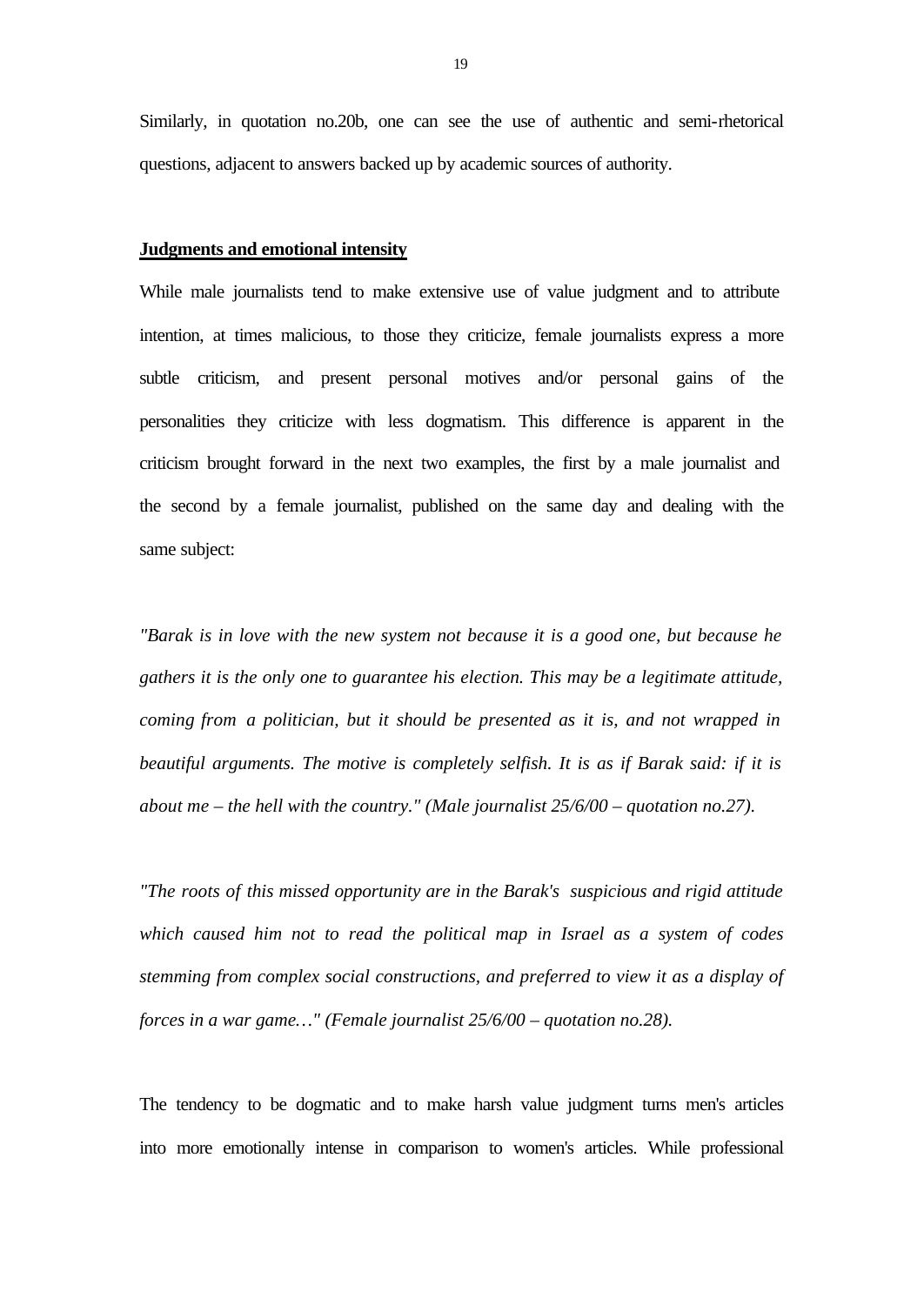Similarly, in quotation no.20b, one can see the use of authentic and semi-rhetorical questions, adjacent to answers backed up by academic sources of authority.

#### **Judgments and emotional intensity**

While male journalists tend to make extensive use of value judgment and to attribute intention, at times malicious, to those they criticize, female journalists express a more subtle criticism, and present personal motives and/or personal gains of the personalities they criticize with less dogmatism. This difference is apparent in the criticism brought forward in the next two examples, the first by a male journalist and the second by a female journalist, published on the same day and dealing with the same subject:

*"Barak is in love with the new system not because it is a good one, but because he gathers it is the only one to guarantee his election. This may be a legitimate attitude, coming from a politician, but it should be presented as it is, and not wrapped in beautiful arguments. The motive is completely selfish. It is as if Barak said: if it is about me – the hell with the country." (Male journalist 25/6/00 – quotation no.27).*

*"The roots of this missed opportunity are in the Barak's suspicious and rigid attitude which caused him not to read the political map in Israel as a system of codes stemming from complex social constructions, and preferred to view it as a display of forces in a war game…" (Female journalist 25/6/00 – quotation no.28).*

The tendency to be dogmatic and to make harsh value judgment turns men's articles into more emotionally intense in comparison to women's articles. While professional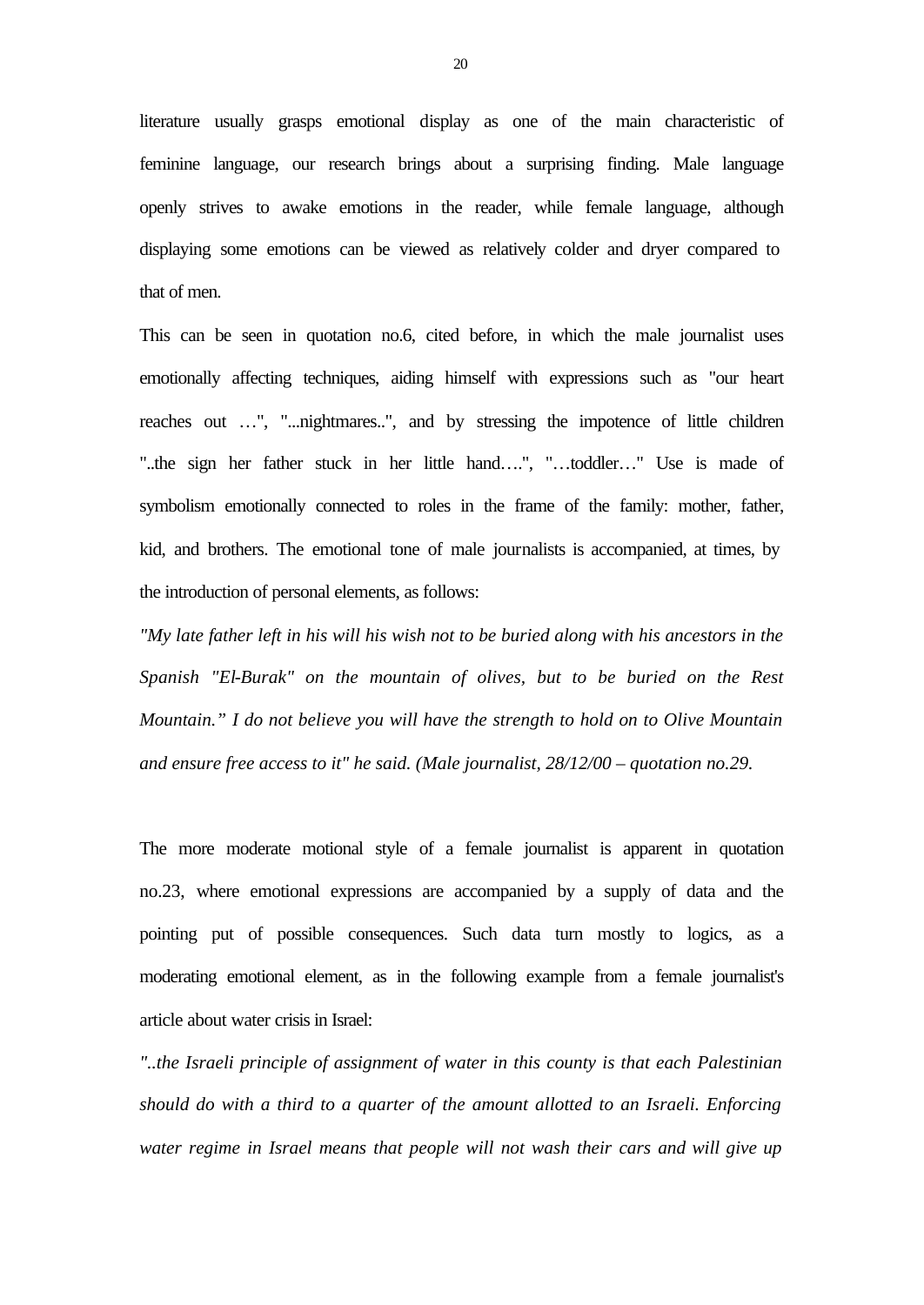literature usually grasps emotional display as one of the main characteristic of feminine language, our research brings about a surprising finding. Male language openly strives to awake emotions in the reader, while female language, although displaying some emotions can be viewed as relatively colder and dryer compared to that of men.

This can be seen in quotation no.6, cited before, in which the male journalist uses emotionally affecting techniques, aiding himself with expressions such as "our heart reaches out …", "...nightmares..", and by stressing the impotence of little children "..the sign her father stuck in her little hand….", "…toddler…" Use is made of symbolism emotionally connected to roles in the frame of the family: mother, father, kid, and brothers. The emotional tone of male journalists is accompanied, at times, by the introduction of personal elements, as follows:

*"My late father left in his will his wish not to be buried along with his ancestors in the Spanish "El-Burak" on the mountain of olives, but to be buried on the Rest Mountain." I do not believe you will have the strength to hold on to Olive Mountain and ensure free access to it" he said. (Male journalist, 28/12/00 – quotation no.29.*

The more moderate motional style of a female journalist is apparent in quotation no.23, where emotional expressions are accompanied by a supply of data and the pointing put of possible consequences. Such data turn mostly to logics, as a moderating emotional element, as in the following example from a female journalist's article about water crisis in Israel:

*"..the Israeli principle of assignment of water in this county is that each Palestinian should do with a third to a quarter of the amount allotted to an Israeli. Enforcing water regime in Israel means that people will not wash their cars and will give up*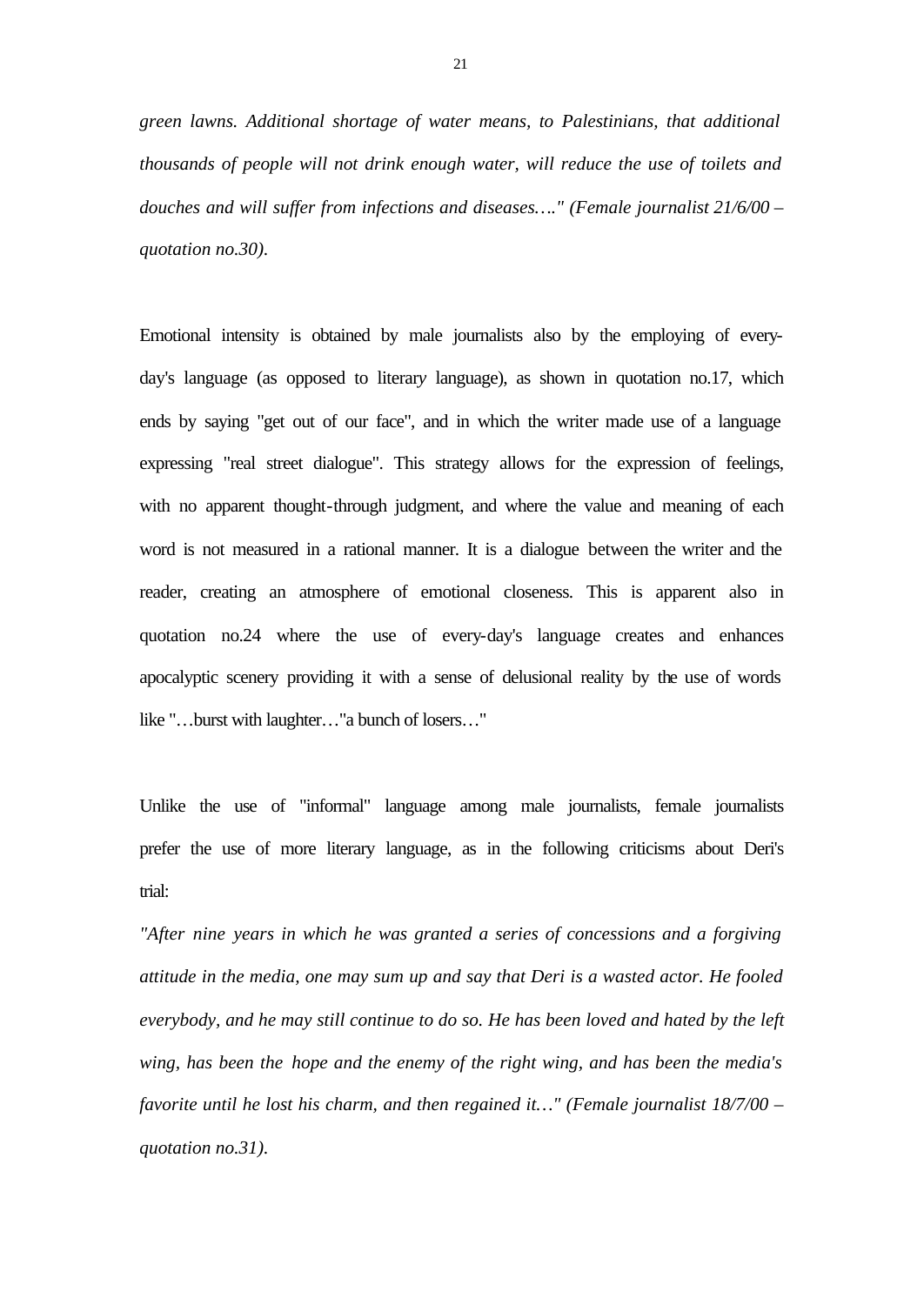*green lawns. Additional shortage of water means, to Palestinians, that additional thousands of people will not drink enough water, will reduce the use of toilets and douches and will suffer from infections and diseases…." (Female journalist 21/6/00 – quotation no.30).*

Emotional intensity is obtained by male journalists also by the employing of everyday's language (as opposed to literar*y* language), as shown in quotation no.17, which ends by saying "get out of our face", and in which the writer made use of a language expressing "real street dialogue". This strategy allows for the expression of feelings, with no apparent thought-through judgment, and where the value and meaning of each word is not measured in a rational manner. It is a dialogue between the writer and the reader, creating an atmosphere of emotional closeness. This is apparent also in quotation no.24 where the use of every-day's language creates and enhances apocalyptic scenery providing it with a sense of delusional reality by the use of words like "…burst with laughter…"a bunch of losers…"

Unlike the use of "informal" language among male journalists, female journalists prefer the use of more literary language, as in the following criticisms about Deri's trial:

*"After nine years in which he was granted a series of concessions and a forgiving attitude in the media, one may sum up and say that Deri is a wasted actor. He fooled everybody, and he may still continue to do so. He has been loved and hated by the left wing, has been the hope and the enemy of the right wing, and has been the media's favorite until he lost his charm, and then regained it…" (Female journalist 18/7/00 – quotation no.31).*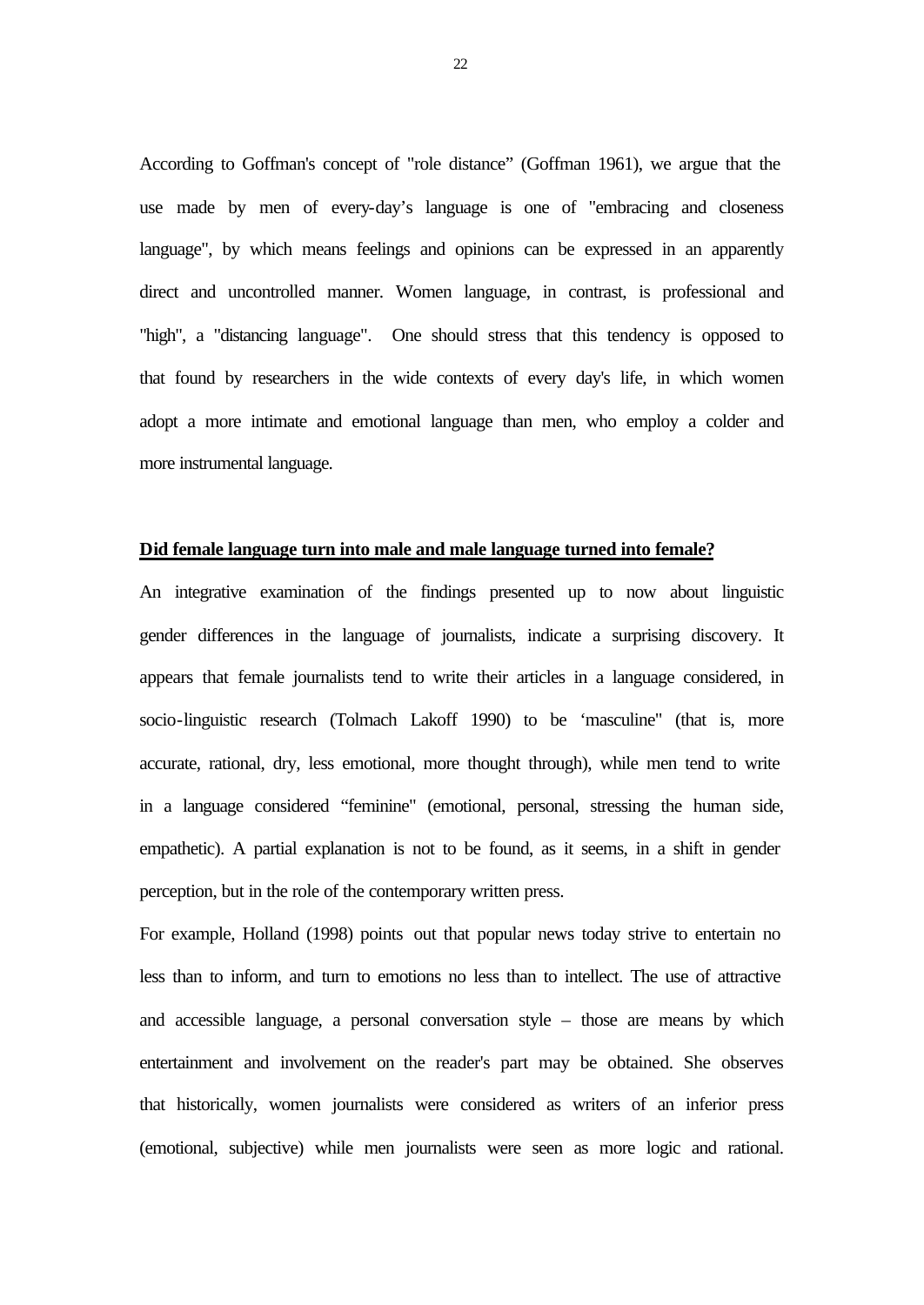According to Goffman's concept of "role distance" (Goffman 1961), we argue that the use made by men of every-day's language is one of "embracing and closeness language", by which means feelings and opinions can be expressed in an apparently direct and uncontrolled manner. Women language, in contrast, is professional and "high", a "distancing language". One should stress that this tendency is opposed to that found by researchers in the wide contexts of every day's life, in which women adopt a more intimate and emotional language than men, who employ a colder and more instrumental language.

### **Did female language turn into male and male language turned into female?**

An integrative examination of the findings presented up to now about linguistic gender differences in the language of journalists, indicate a surprising discovery. It appears that female journalists tend to write their articles in a language considered, in socio-linguistic research (Tolmach Lakoff 1990) to be 'masculine" (that is, more accurate, rational, dry, less emotional, more thought through), while men tend to write in a language considered "feminine" (emotional, personal, stressing the human side, empathetic). A partial explanation is not to be found, as it seems, in a shift in gender perception, but in the role of the contemporary written press.

For example, Holland (1998) points out that popular news today strive to entertain no less than to inform, and turn to emotions no less than to intellect. The use of attractive and accessible language, a personal conversation style – those are means by which entertainment and involvement on the reader's part may be obtained. She observes that historically, women journalists were considered as writers of an inferior press (emotional, subjective) while men journalists were seen as more logic and rational.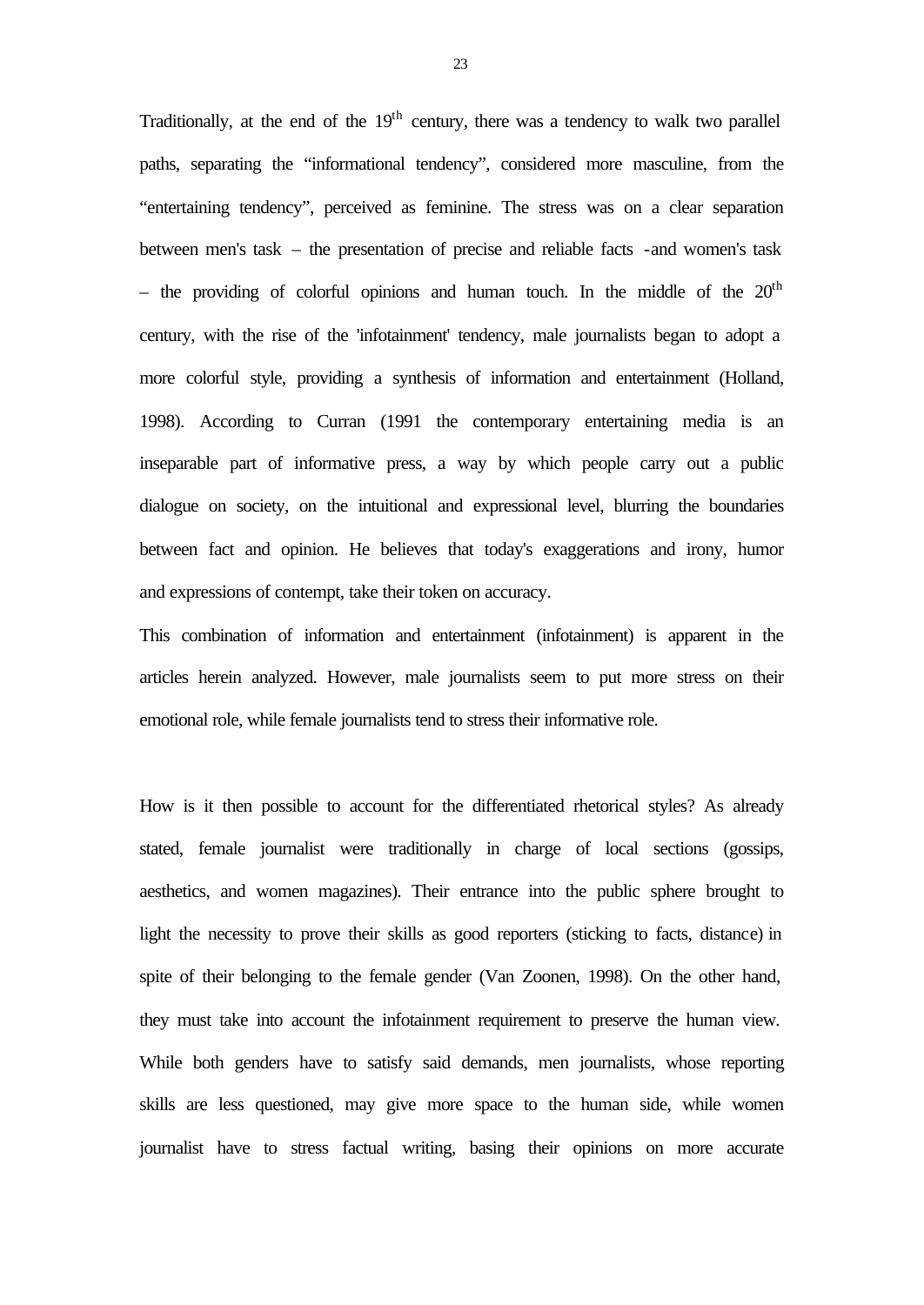Traditionally, at the end of the  $19<sup>th</sup>$  century, there was a tendency to walk two parallel paths, separating the "informational tendency", considered more masculine, from the "entertaining tendency", perceived as feminine. The stress was on a clear separation between men's task – the presentation of precise and reliable facts -and women's task – the providing of colorful opinions and human touch. In the middle of the  $20<sup>th</sup>$ century, with the rise of the 'infotainment' tendency, male journalists began to adopt a more colorful style, providing a synthesis of information and entertainment (Holland, 1998). According to Curran (1991 the contemporary entertaining media is an inseparable part of informative press, a way by which people carry out a public dialogue on society, on the intuitional and expressional level, blurring the boundaries between fact and opinion. He believes that today's exaggerations and irony, humor and expressions of contempt, take their token on accuracy.

This combination of information and entertainment (infotainment) is apparent in the articles herein analyzed. However, male journalists seem to put more stress on their emotional role, while female journalists tend to stress their informative role.

How is it then possible to account for the differentiated rhetorical styles? As already stated, female journalist were traditionally in charge of local sections (gossips, aesthetics, and women magazines). Their entrance into the public sphere brought to light the necessity to prove their skills as good reporters (sticking to facts, distance) in spite of their belonging to the female gender (Van Zoonen, 1998). On the other hand, they must take into account the infotainment requirement to preserve the human view. While both genders have to satisfy said demands, men journalists, whose reporting skills are less questioned, may give more space to the human side, while women journalist have to stress factual writing, basing their opinions on more accurate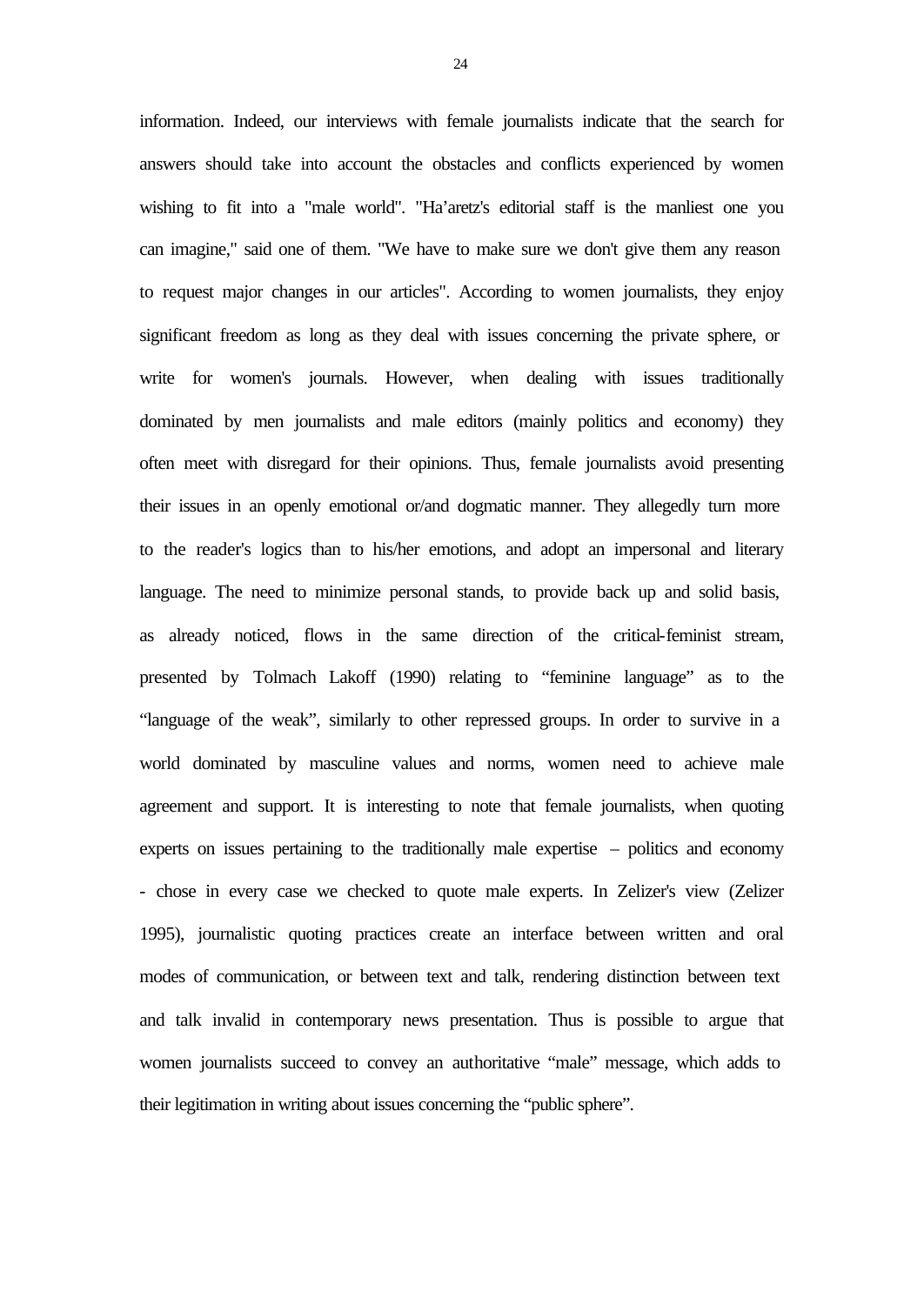information. Indeed, our interviews with female journalists indicate that the search for answers should take into account the obstacles and conflicts experienced by women wishing to fit into a "male world". "Ha'aretz's editorial staff is the manliest one you can imagine," said one of them. "We have to make sure we don't give them any reason to request major changes in our articles". According to women journalists, they enjoy significant freedom as long as they deal with issues concerning the private sphere, or write for women's journals. However, when dealing with issues traditionally dominated by men journalists and male editors (mainly politics and economy) they often meet with disregard for their opinions. Thus, female journalists avoid presenting their issues in an openly emotional or/and dogmatic manner. They allegedly turn more to the reader's logics than to his/her emotions, and adopt an impersonal and literary language. The need to minimize personal stands, to provide back up and solid basis, as already noticed, flows in the same direction of the critical-feminist stream, presented by Tolmach Lakoff (1990) relating to "feminine language" as to the "language of the weak", similarly to other repressed groups. In order to survive in a world dominated by masculine values and norms, women need to achieve male agreement and support. It is interesting to note that female journalists, when quoting experts on issues pertaining to the traditionally male expertise – politics and economy - chose in every case we checked to quote male experts. In Zelizer's view (Zelizer 1995), journalistic quoting practices create an interface between written and oral modes of communication, or between text and talk, rendering distinction between text and talk invalid in contemporary news presentation. Thus is possible to argue that women journalists succeed to convey an authoritative "male" message, which adds to their legitimation in writing about issues concerning the "public sphere".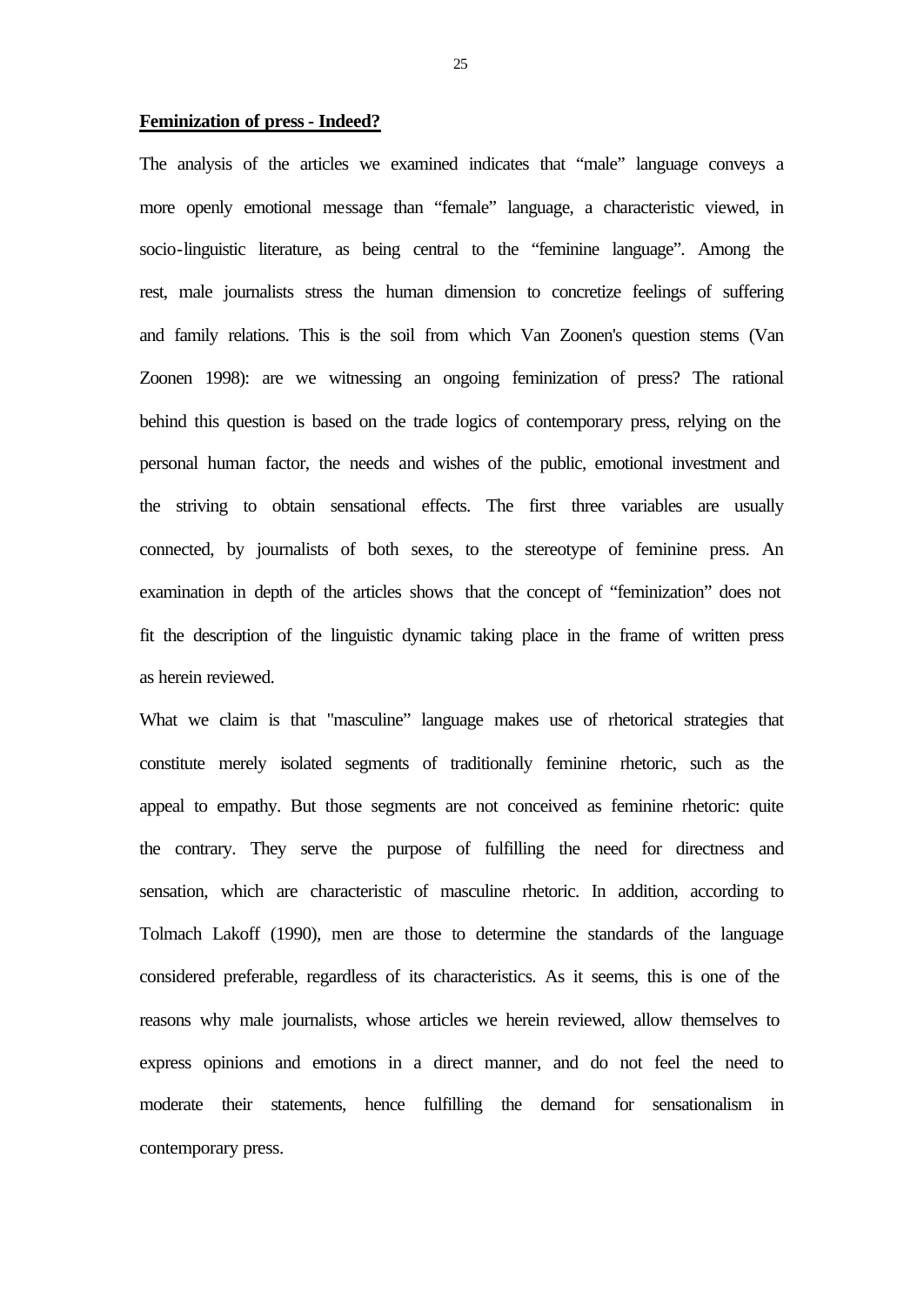### **Feminization of press - Indeed?**

The analysis of the articles we examined indicates that "male" language conveys a more openly emotional message than "female" language, a characteristic viewed, in socio-linguistic literature, as being central to the "feminine language". Among the rest, male journalists stress the human dimension to concretize feelings of suffering and family relations. This is the soil from which Van Zoonen's question stems (Van Zoonen 1998): are we witnessing an ongoing feminization of press? The rational behind this question is based on the trade logics of contemporary press, relying on the personal human factor, the needs and wishes of the public, emotional investment and the striving to obtain sensational effects. The first three variables are usually connected, by journalists of both sexes, to the stereotype of feminine press. An examination in depth of the articles shows that the concept of "feminization" does not fit the description of the linguistic dynamic taking place in the frame of written press as herein reviewed.

What we claim is that "masculine" language makes use of rhetorical strategies that constitute merely isolated segments of traditionally feminine rhetoric, such as the appeal to empathy. But those segments are not conceived as feminine rhetoric: quite the contrary. They serve the purpose of fulfilling the need for directness and sensation, which are characteristic of masculine rhetoric. In addition, according to Tolmach Lakoff (1990), men are those to determine the standards of the language considered preferable, regardless of its characteristics. As it seems, this is one of the reasons why male journalists, whose articles we herein reviewed, allow themselves to express opinions and emotions in a direct manner, and do not feel the need to moderate their statements, hence fulfilling the demand for sensationalism in contemporary press.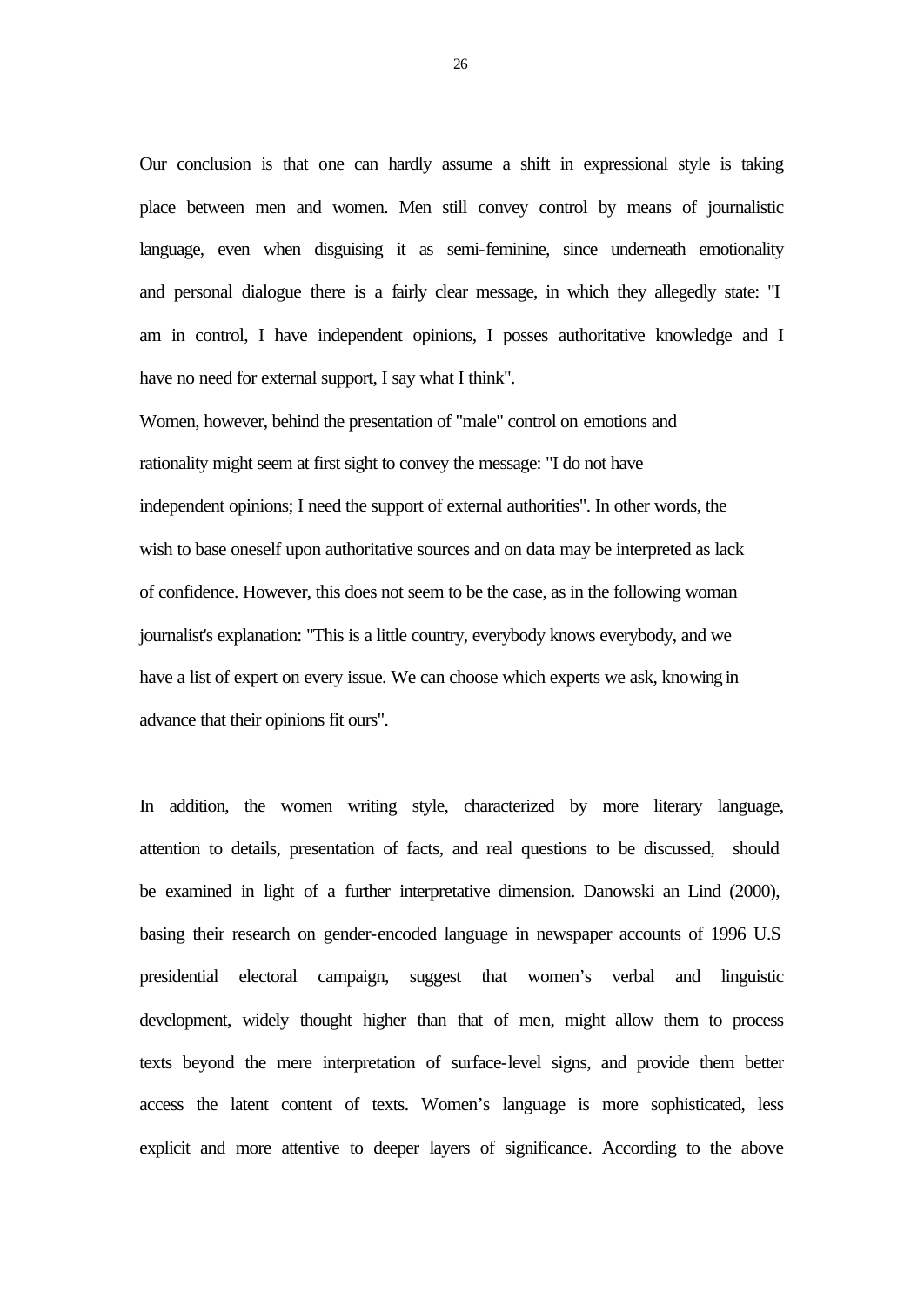Our conclusion is that one can hardly assume a shift in expressional style is taking place between men and women. Men still convey control by means of journalistic language, even when disguising it as semi-feminine, since underneath emotionality and personal dialogue there is a fairly clear message, in which they allegedly state: "I am in control, I have independent opinions, I posses authoritative knowledge and I have no need for external support, I say what I think".

Women, however, behind the presentation of "male" control on emotions and rationality might seem at first sight to convey the message: "I do not have independent opinions; I need the support of external authorities". In other words, the wish to base oneself upon authoritative sources and on data may be interpreted as lack of confidence. However, this does not seem to be the case, as in the following woman journalist's explanation: "This is a little country, everybody knows everybody, and we have a list of expert on every issue. We can choose which experts we ask, knowing in advance that their opinions fit ours".

In addition, the women writing style, characterized by more literary language, attention to details, presentation of facts, and real questions to be discussed, should be examined in light of a further interpretative dimension. Danowski an Lind (2000), basing their research on gender-encoded language in newspaper accounts of 1996 U.S presidential electoral campaign, suggest that women's verbal and linguistic development, widely thought higher than that of men, might allow them to process texts beyond the mere interpretation of surface-level signs, and provide them better access the latent content of texts. Women's language is more sophisticated, less explicit and more attentive to deeper layers of significance. According to the above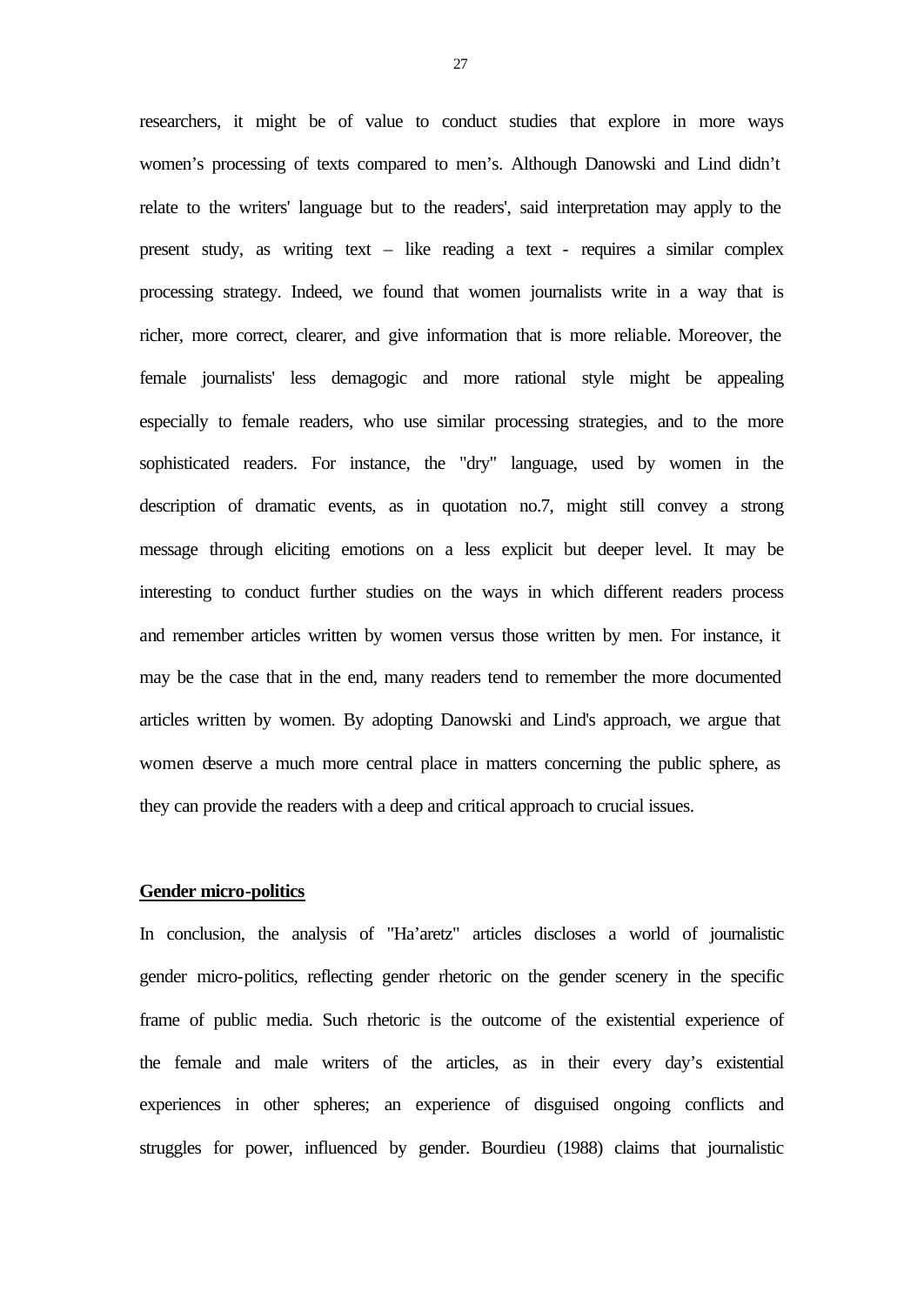researchers, it might be of value to conduct studies that explore in more ways women's processing of texts compared to men's. Although Danowski and Lind didn't relate to the writers' language but to the readers', said interpretation may apply to the present study, as writing text – like reading a text - requires a similar complex processing strategy. Indeed, we found that women journalists write in a way that is richer, more correct, clearer, and give information that is more reliable. Moreover, the female journalists' less demagogic and more rational style might be appealing especially to female readers, who use similar processing strategies, and to the more sophisticated readers. For instance, the "dry" language, used by women in the description of dramatic events, as in quotation no.7, might still convey a strong message through eliciting emotions on a less explicit but deeper level. It may be interesting to conduct further studies on the ways in which different readers process and remember articles written by women versus those written by men. For instance, it may be the case that in the end, many readers tend to remember the more documented articles written by women. By adopting Danowski and Lind's approach, we argue that women deserve a much more central place in matters concerning the public sphere, as they can provide the readers with a deep and critical approach to crucial issues.

# **Gender micro-politics**

In conclusion, the analysis of "Ha'aretz" articles discloses a world of journalistic gender micro-politics, reflecting gender rhetoric on the gender scenery in the specific frame of public media. Such rhetoric is the outcome of the existential experience of the female and male writers of the articles, as in their every day's existential experiences in other spheres; an experience of disguised ongoing conflicts and struggles for power, influenced by gender. Bourdieu (1988) claims that journalistic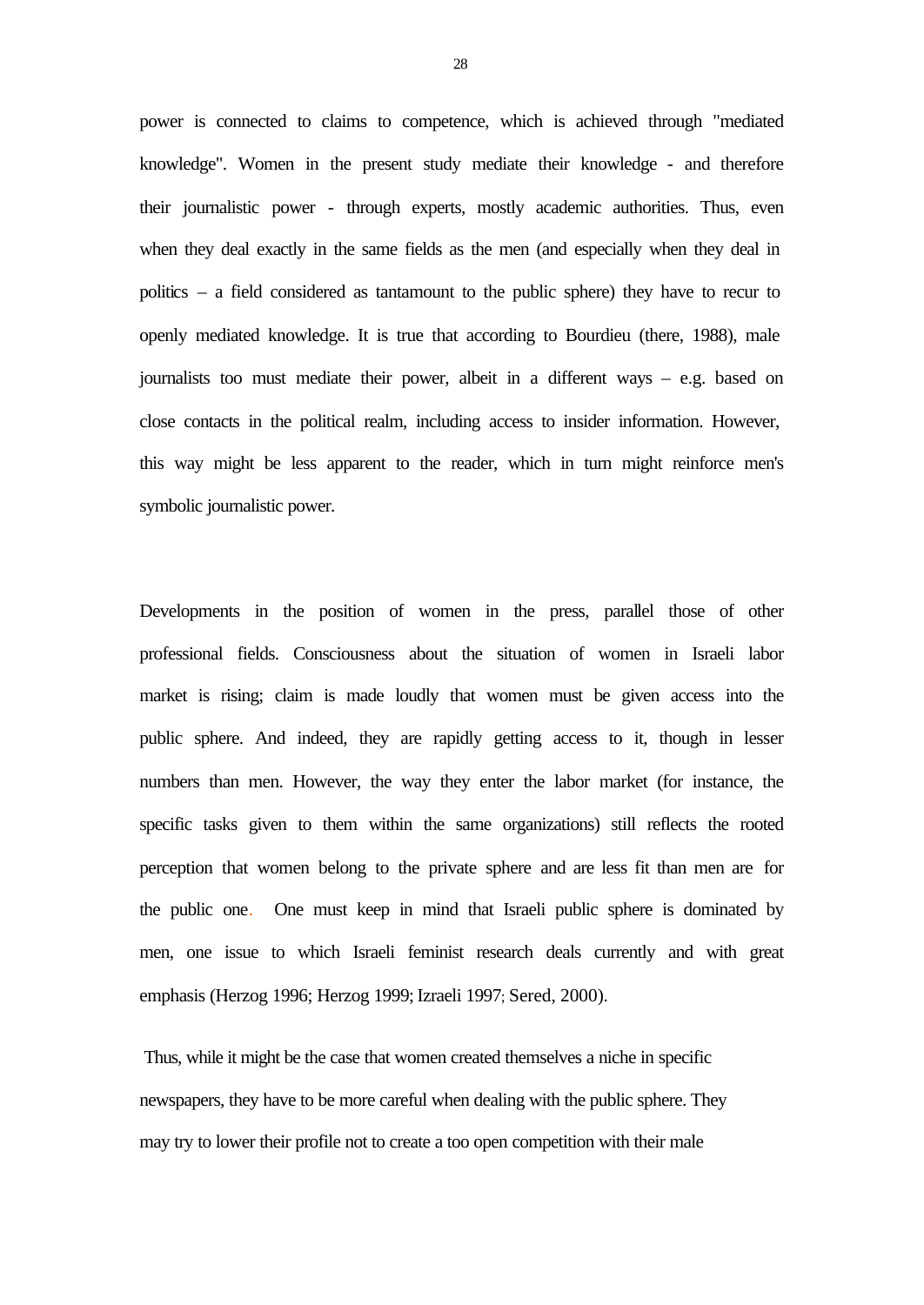power is connected to claims to competence, which is achieved through "mediated knowledge". Women in the present study mediate their knowledge - and therefore their journalistic power - through experts, mostly academic authorities. Thus, even when they deal exactly in the same fields as the men (and especially when they deal in politics – a field considered as tantamount to the public sphere) they have to recur to openly mediated knowledge. It is true that according to Bourdieu (there, 1988), male journalists too must mediate their power, albeit in a different ways – e.g. based on close contacts in the political realm, including access to insider information. However, this way might be less apparent to the reader, which in turn might reinforce men's symbolic journalistic power.

Developments in the position of women in the press, parallel those of other professional fields. Consciousness about the situation of women in Israeli labor market is rising; claim is made loudly that women must be given access into the public sphere. And indeed, they are rapidly getting access to it, though in lesser numbers than men. However, the way they enter the labor market (for instance, the specific tasks given to them within the same organizations) still reflects the rooted perception that women belong to the private sphere and are less fit than men are for the public one. One must keep in mind that Israeli public sphere is dominated by men, one issue to which Israeli feminist research deals currently and with great emphasis (Herzog 1996; Herzog 1999; Izraeli 1997; Sered, 2000).

 Thus, while it might be the case that women created themselves a niche in specific newspapers, they have to be more careful when dealing with the public sphere. They may try to lower their profile not to create a too open competition with their male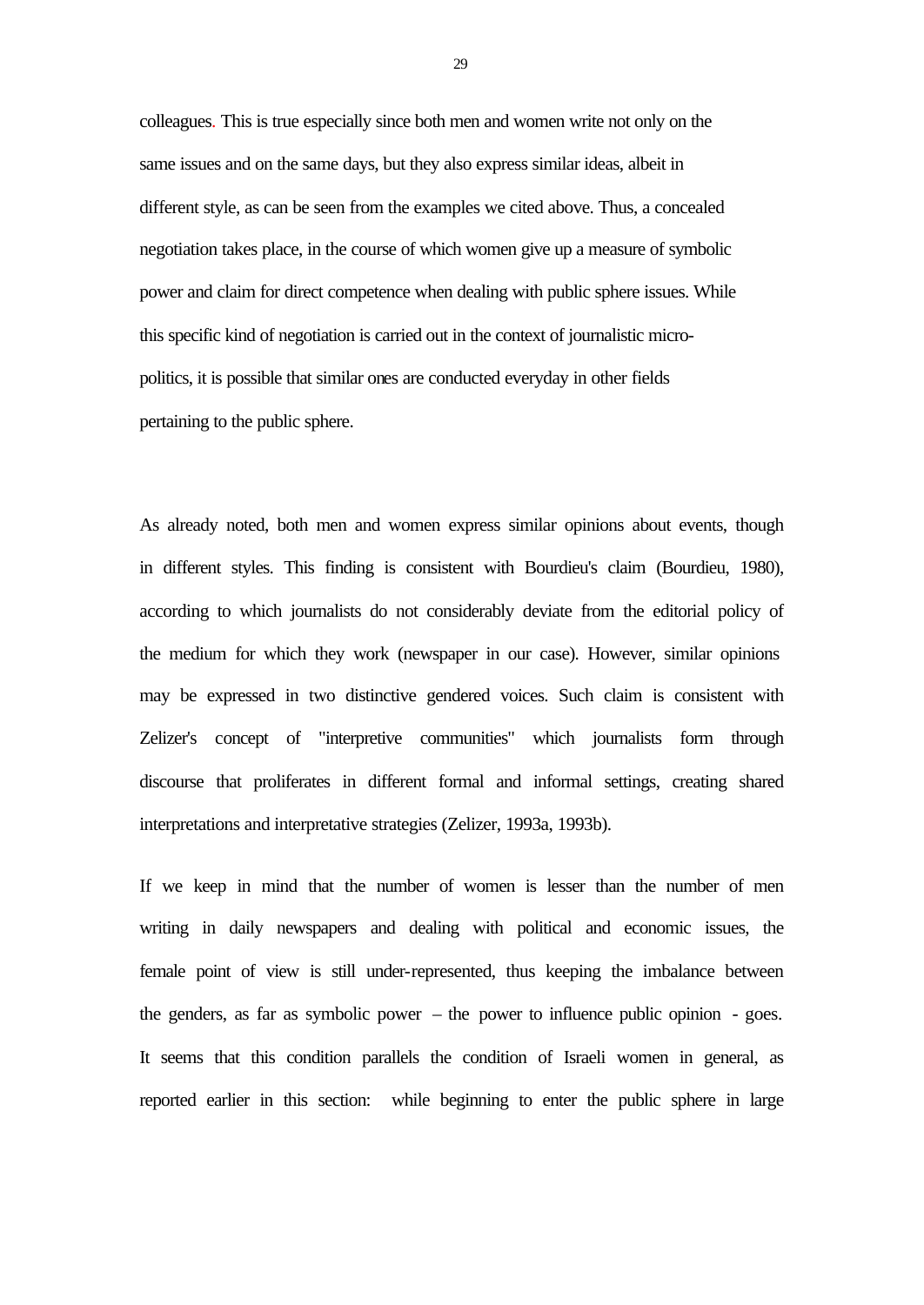colleagues. This is true especially since both men and women write not only on the same issues and on the same days, but they also express similar ideas, albeit in different style, as can be seen from the examples we cited above. Thus, a concealed negotiation takes place, in the course of which women give up a measure of symbolic power and claim for direct competence when dealing with public sphere issues. While this specific kind of negotiation is carried out in the context of journalistic micropolitics, it is possible that similar ones are conducted everyday in other fields pertaining to the public sphere.

As already noted, both men and women express similar opinions about events, though in different styles. This finding is consistent with Bourdieu's claim (Bourdieu, 1980), according to which journalists do not considerably deviate from the editorial policy of the medium for which they work (newspaper in our case). However, similar opinions may be expressed in two distinctive gendered voices. Such claim is consistent with Zelizer's concept of "interpretive communities" which journalists form through discourse that proliferates in different formal and informal settings, creating shared interpretations and interpretative strategies (Zelizer, 1993a, 1993b).

If we keep in mind that the number of women is lesser than the number of men writing in daily newspapers and dealing with political and economic issues, the female point of view is still under-represented, thus keeping the imbalance between the genders, as far as symbolic power – the power to influence public opinion - goes. It seems that this condition parallels the condition of Israeli women in general, as reported earlier in this section: while beginning to enter the public sphere in large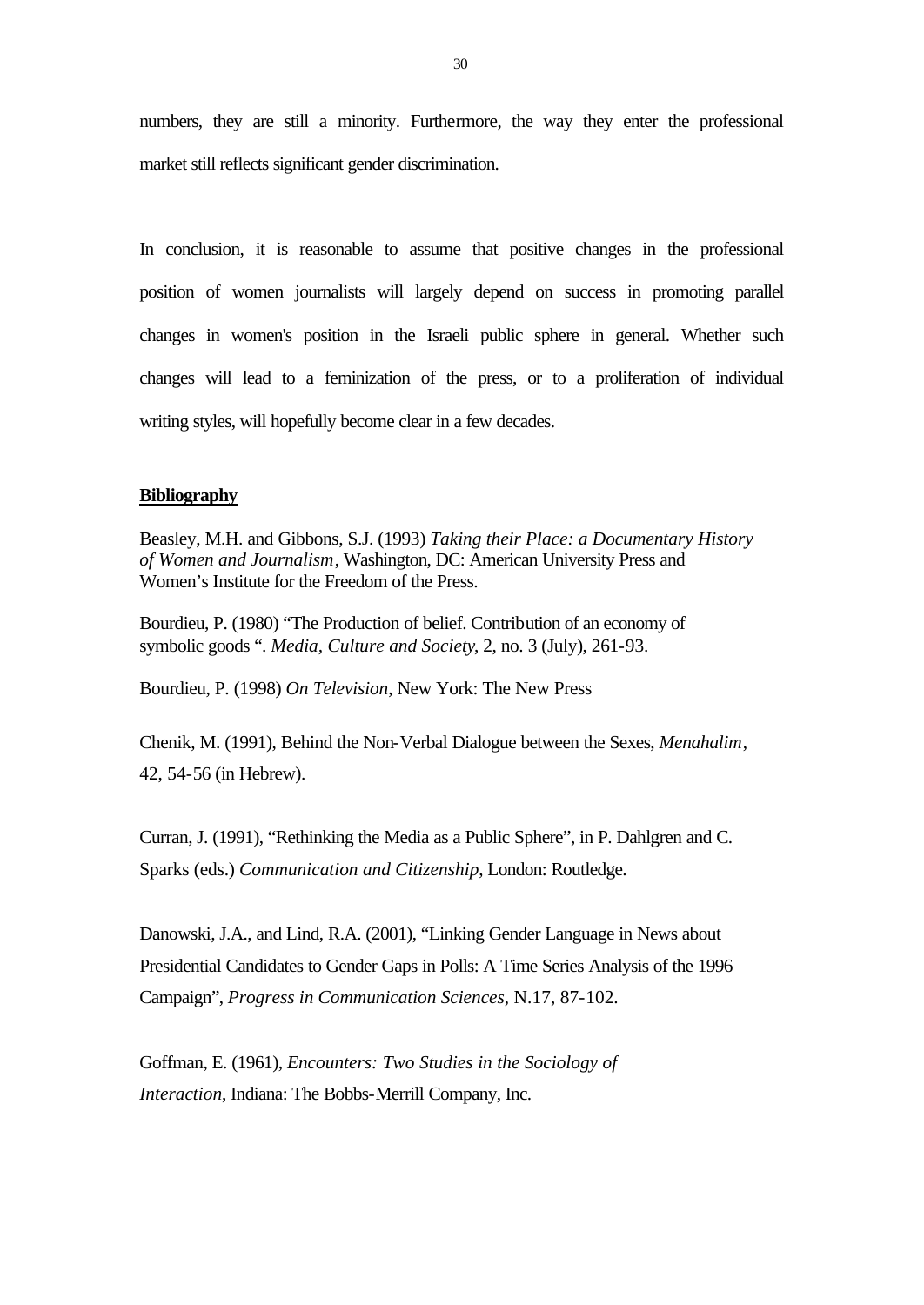numbers, they are still a minority. Furthermore, the way they enter the professional market still reflects significant gender discrimination.

In conclusion, it is reasonable to assume that positive changes in the professional position of women journalists will largely depend on success in promoting parallel changes in women's position in the Israeli public sphere in general. Whether such changes will lead to a feminization of the press, or to a proliferation of individual writing styles, will hopefully become clear in a few decades.

### **Bibliography**

Beasley, M.H. and Gibbons, S.J. (1993) *Taking their Place: a Documentary History of Women and Journalism*, Washington, DC: American University Press and Women's Institute for the Freedom of the Press.

Bourdieu, P. (1980) "The Production of belief. Contribution of an economy of symbolic goods ". *Media, Culture and Society*, 2, no. 3 (July), 261-93.

Bourdieu, P. (1998) *On Television*, New York: The New Press

Chenik, M. (1991), Behind the Non-Verbal Dialogue between the Sexes, *Menahalim*, 42, 54-56 (in Hebrew).

Curran, J. (1991), "Rethinking the Media as a Public Sphere", in P. Dahlgren and C. Sparks (eds.) *Communication and Citizenship*, London: Routledge.

Danowski, J.A., and Lind, R.A. (2001), "Linking Gender Language in News about Presidential Candidates to Gender Gaps in Polls: A Time Series Analysis of the 1996 Campaign", *Progress in Communication Sciences*, N.17, 87-102.

Goffman, E. (1961), *Encounters: Two Studies in the Sociology of Interaction*, Indiana: The Bobbs-Merrill Company, Inc.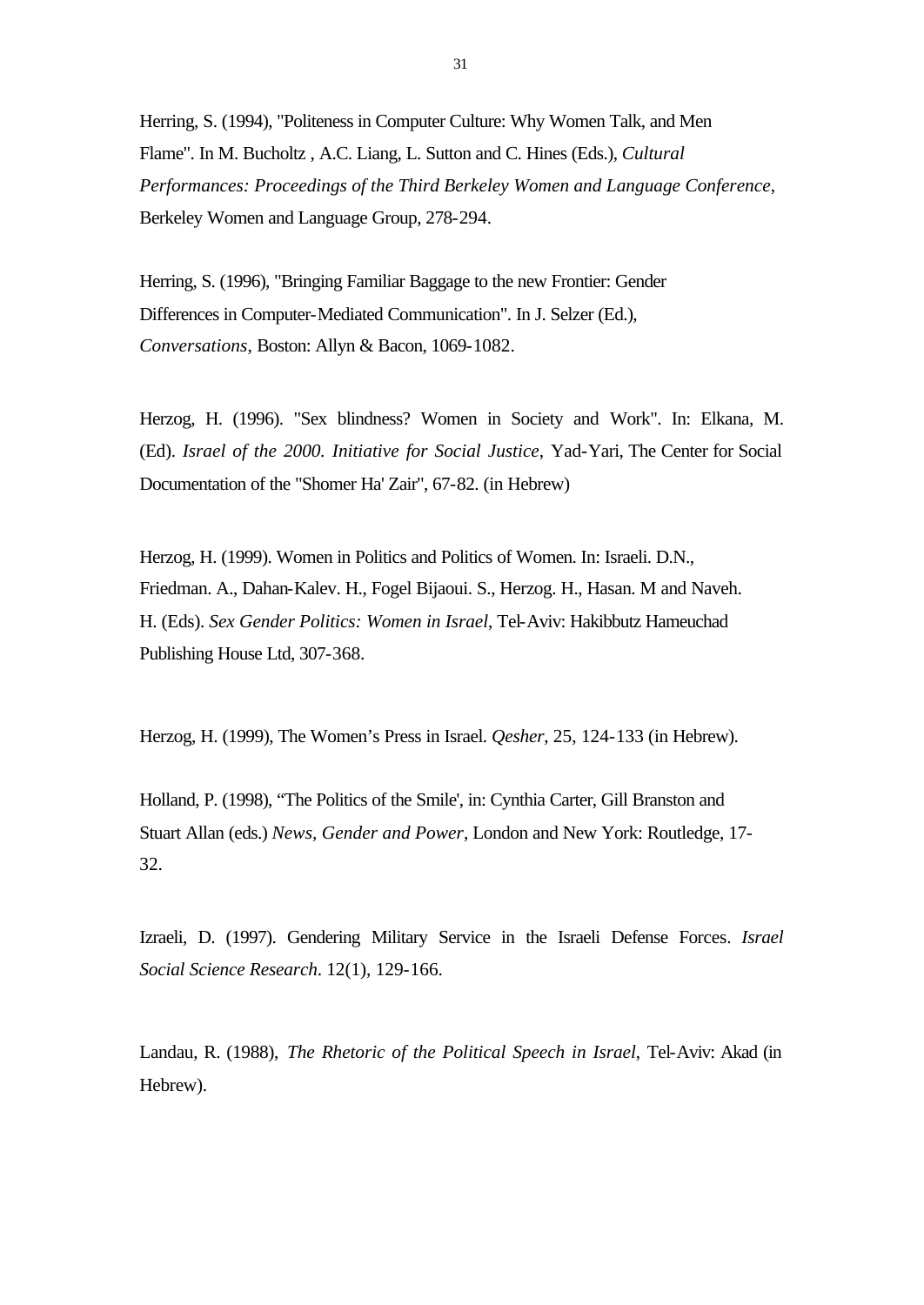Herring, S. (1994), "Politeness in Computer Culture: Why Women Talk, and Men Flame". In M. Bucholtz , A.C. Liang, L. Sutton and C. Hines (Eds.), *Cultural Performances: Proceedings of the Third Berkeley Women and Language Conference*, Berkeley Women and Language Group, 278-294.

Herring, S. (1996), "Bringing Familiar Baggage to the new Frontier: Gender Differences in Computer-Mediated Communication". In J. Selzer (Ed.), *Conversations*, Boston: Allyn & Bacon, 1069-1082.

Herzog, H. (1996). "Sex blindness? Women in Society and Work". In: Elkana, M. (Ed). *Israel of the 2000. Initiative for Social Justice*, Yad-Yari, The Center for Social Documentation of the "Shomer Ha' Zair", 67-82. (in Hebrew)

Herzog, H. (1999). Women in Politics and Politics of Women. In: Israeli. D.N., Friedman. A., Dahan-Kalev. H., Fogel Bijaoui. S., Herzog. H., Hasan. M and Naveh. H. (Eds). *Sex Gender Politics: Women in Israel*, Tel-Aviv: Hakibbutz Hameuchad Publishing House Ltd, 307-368.

Herzog, H. (1999), The Women's Press in Israel. *Qesher*, 25, 124-133 (in Hebrew).

Holland, P. (1998), "The Politics of the Smile', in: Cynthia Carter, Gill Branston and Stuart Allan (eds.) *News, Gender and Power*, London and New York: Routledge, 17- 32.

Izraeli, D. (1997). Gendering Military Service in the Israeli Defense Forces. *Israel Social Science Research*. 12(1), 129-166.

Landau, R. (1988), *The Rhetoric of the Political Speech in Israel*, Tel-Aviv: Akad (in Hebrew).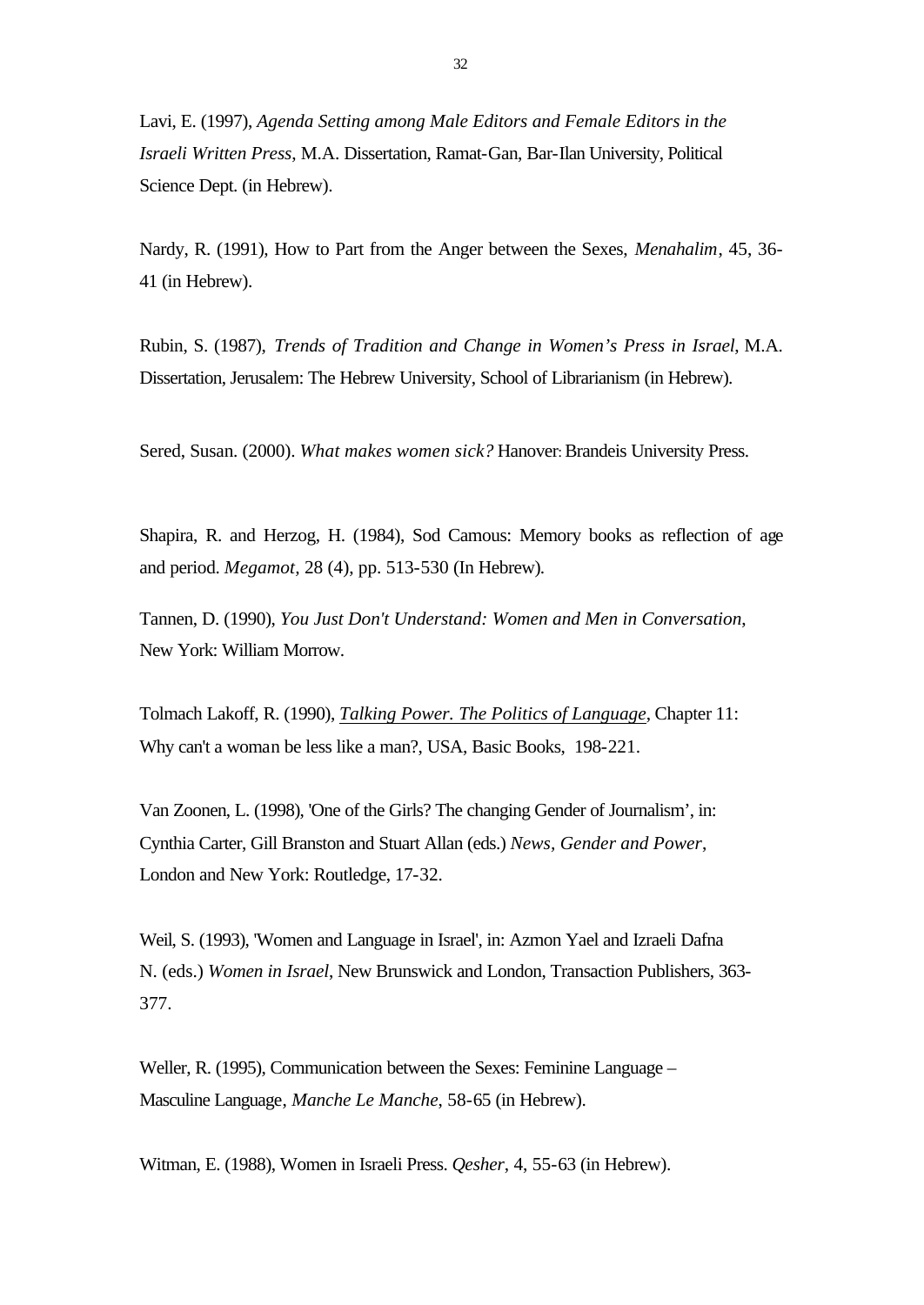Lavi, E. (1997), *Agenda Setting among Male Editors and Female Editors in the Israeli Written Press*, M.A. Dissertation, Ramat-Gan, Bar-Ilan University, Political Science Dept. (in Hebrew).

Nardy, R. (1991), How to Part from the Anger between the Sexes, *Menahalim*, 45, 36- 41 (in Hebrew).

Rubin, S. (1987), *Trends of Tradition and Change in Women's Press in Israel*, M.A. Dissertation, Jerusalem: The Hebrew University, School of Librarianism (in Hebrew).

Sered, Susan. (2000). *What makes women sick?* Hanover: Brandeis University Press.

Shapira, R. and Herzog, H. (1984), Sod Camous: Memory books as reflection of age and period. *Megamot,* 28 (4), pp. 513-530 (In Hebrew)*.*

Tannen, D. (1990), *You Just Don't Understand: Women and Men in Conversation*, New York: William Morrow.

Tolmach Lakoff, R. (1990), *Talking Power. The Politics of Language*, Chapter 11: Why can't a woman be less like a man?, USA, Basic Books, 198-221.

Van Zoonen, L. (1998), 'One of the Girls? The changing Gender of Journalism', in: Cynthia Carter, Gill Branston and Stuart Allan (eds.) *News, Gender and Power*, London and New York: Routledge, 17-32.

Weil, S. (1993), 'Women and Language in Israel', in: Azmon Yael and Izraeli Dafna N. (eds.) *Women in Israel*, New Brunswick and London, Transaction Publishers, 363- 377.

Weller, R. (1995), Communication between the Sexes: Feminine Language – Masculine Language, *Manche Le Manche*, 58-65 (in Hebrew).

Witman, E. (1988), Women in Israeli Press. *Qesher*, 4, 55-63 (in Hebrew).